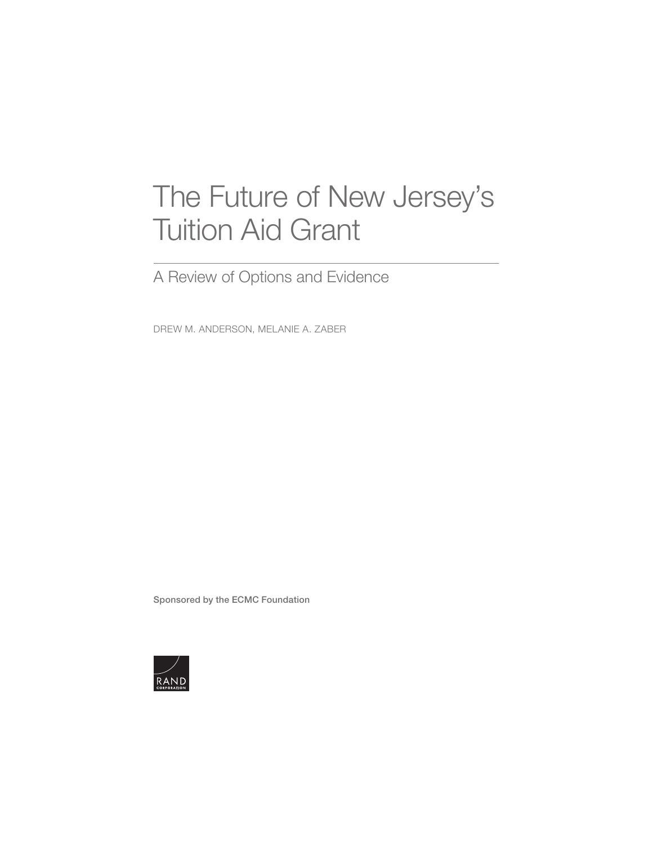# [The Future of New Jersey's](https://www.rand.org/pubs/research_reports/RRA101-2.html)  Tuition Aid Grant

A Review of Options and Evidence

DREW M. ANDERSON, MELANIE A. ZABER

Sponsored by the ECMC Foundation

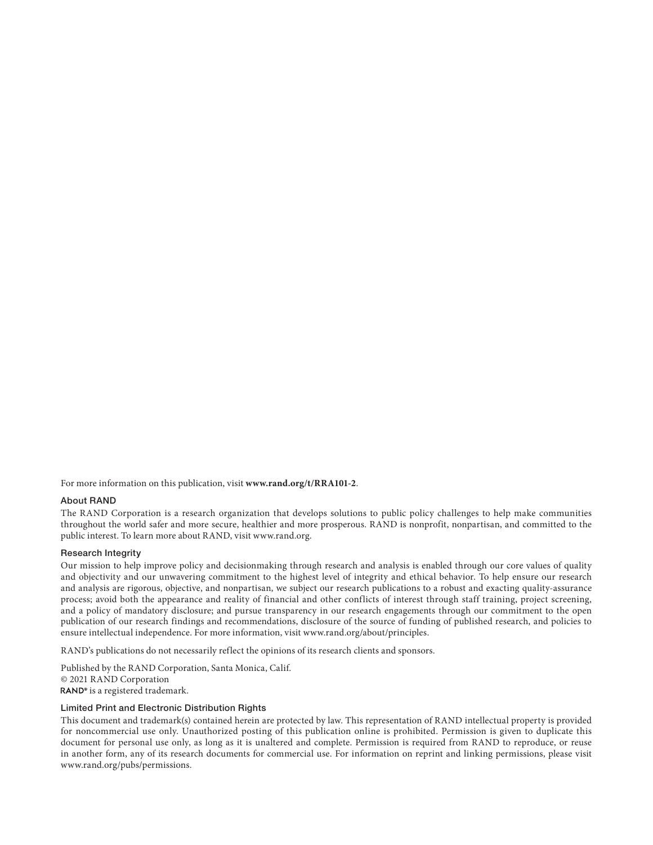For more information on this publication, visit **[www.rand.org/t/RRA101-2](http://www.rand.org/t/RRA101-2)**.

#### About RAND

The RAND Corporation is a research organization that develops solutions to public policy challenges to help make communities throughout the world safer and more secure, healthier and more prosperous. RAND is nonprofit, nonpartisan, and committed to the public interest. To learn more about RAND, visit [www.rand.org](http://www.rand.org).

#### Research Integrity

Our mission to help improve policy and decisionmaking through research and analysis is enabled through our core values of quality and objectivity and our unwavering commitment to the highest level of integrity and ethical behavior. To help ensure our research and analysis are rigorous, objective, and nonpartisan, we subject our research publications to a robust and exacting quality-assurance process; avoid both the appearance and reality of financial and other conflicts of interest through staff training, project screening, and a policy of mandatory disclosure; and pursue transparency in our research engagements through our commitment to the open publication of our research findings and recommendations, disclosure of the source of funding of published research, and policies to ensure intellectual independence. For more information, visit [www.rand.org/about/principles.](http://www.rand.org/about/principles)

RAND's publications do not necessarily reflect the opinions of its research clients and sponsors.

Published by the RAND Corporation, Santa Monica, Calif. © 2021 RAND Corporation RAND<sup>®</sup> is a registered trademark.

#### Limited Print and Electronic Distribution Rights

This document and trademark(s) contained herein are protected by law. This representation of RAND intellectual property is provided for noncommercial use only. Unauthorized posting of this publication online is prohibited. Permission is given to duplicate this document for personal use only, as long as it is unaltered and complete. Permission is required from RAND to reproduce, or reuse in another form, any of its research documents for commercial use. For information on reprint and linking permissions, please visit www.rand.org/pubs/permissions.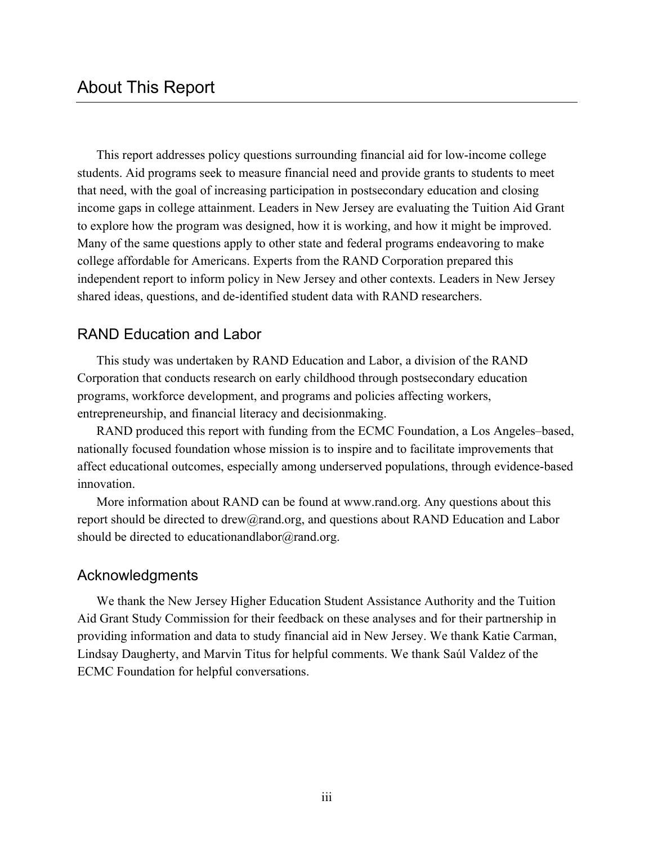This report addresses policy questions surrounding financial aid for low-income college students. Aid programs seek to measure financial need and provide grants to students to meet that need, with the goal of increasing participation in postsecondary education and closing income gaps in college attainment. Leaders in New Jersey are evaluating the Tuition Aid Grant to explore how the program was designed, how it is working, and how it might be improved. Many of the same questions apply to other state and federal programs endeavoring to make college affordable for Americans. Experts from the RAND Corporation prepared this independent report to inform policy in New Jersey and other contexts. Leaders in New Jersey shared ideas, questions, and de-identified student data with RAND researchers.

## RAND Education and Labor

This study was undertaken by RAND Education and Labor, a division of the RAND Corporation that conducts research on early childhood through postsecondary education programs, workforce development, and programs and policies affecting workers, entrepreneurship, and financial literacy and decisionmaking.

RAND produced this report with funding from the ECMC Foundation, a Los Angeles–based, nationally focused foundation whose mission is to inspire and to facilitate improvements that affect educational outcomes, especially among underserved populations, through evidence-based innovation.

More information about RAND can be found at [www.rand.org.](http://www.rand.org) Any questions about this report should be directed to [drew@rand.org,](mailto:drew@rand.org) and questions about RAND Education and Labor should be directed to [educationandlabor@rand.org.](mailto:educationandlabor@rand.org)

### Acknowledgments

We thank the New Jersey Higher Education Student Assistance Authority and the Tuition Aid Grant Study Commission for their feedback on these analyses and for their partnership in providing information and data to study financial aid in New Jersey. We thank Katie Carman, Lindsay Daugherty, and Marvin Titus for helpful comments. We thank Saúl Valdez of the ECMC Foundation for helpful conversations.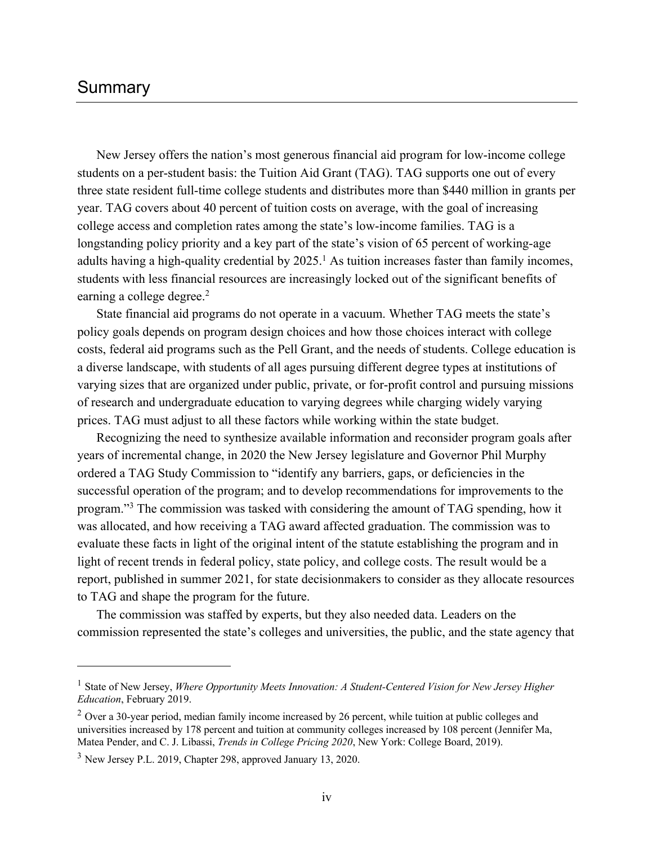# **Summary**

New Jersey offers the nation's most generous financial aid program for low-income college students on a per-student basis: the Tuition Aid Grant (TAG). TAG supports one out of every three state resident full-time college students and distributes more than \$440 million in grants per year. TAG covers about 40 percent of tuition costs on average, with the goal of increasing college access and completion rates among the state's low-income families. TAG is a longstanding policy priority and a key part of the state's vision of 65 percent of working-age adults having a high-quality credential by  $2025<sup>1</sup>$ . As tuition increases faster than family incomes, students with less financial resources are increasingly locked out of the significant benefits of earning a college degree.<sup>2</sup>

State financial aid programs do not operate in a vacuum. Whether TAG meets the state's policy goals depends on program design choices and how those choices interact with college costs, federal aid programs such as the Pell Grant, and the needs of students. College education is a diverse landscape, with students of all ages pursuing different degree types at institutions of varying sizes that are organized under public, private, or for-profit control and pursuing missions of research and undergraduate education to varying degrees while charging widely varying prices. TAG must adjust to all these factors while working within the state budget.

Recognizing the need to synthesize available information and reconsider program goals after years of incremental change, in 2020 the New Jersey legislature and Governor Phil Murphy ordered a TAG Study Commission to "identify any barriers, gaps, or deficiencies in the successful operation of the program; and to develop recommendations for improvements to the program."3 The commission was tasked with considering the amount of TAG spending, how it was allocated, and how receiving a TAG award affected graduation. The commission was to evaluate these facts in light of the original intent of the statute establishing the program and in light of recent trends in federal policy, state policy, and college costs. The result would be a report, published in summer 2021, for state decisionmakers to consider as they allocate resources to TAG and shape the program for the future.

The commission was staffed by experts, but they also needed data. Leaders on the commission represented the state's colleges and universities, the public, and the state agency that

<sup>1</sup> State of New Jersey, *Where Opportunity Meets Innovation: A Student-Centered Vision for New Jersey Higher Education*, February 2019.

 $2$  Over a 30-year period, median family income increased by 26 percent, while tuition at public colleges and universities increased by 178 percent and tuition at community colleges increased by 108 percent (Jennifer Ma, Matea Pender, and C. J. Libassi, *Trends in College Pricing 2020*, New York: College Board, 2019).

<sup>3</sup> New Jersey P.L. 2019, Chapter 298, approved January 13, 2020.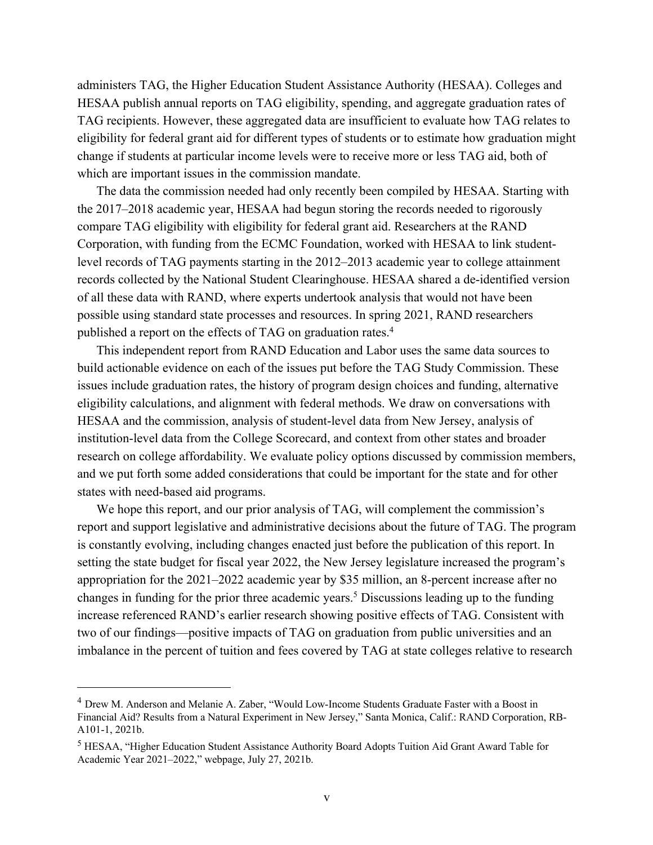administers TAG, the Higher Education Student Assistance Authority (HESAA). Colleges and HESAA publish annual reports on TAG eligibility, spending, and aggregate graduation rates of TAG recipients. However, these aggregated data are insufficient to evaluate how TAG relates to eligibility for federal grant aid for different types of students or to estimate how graduation might change if students at particular income levels were to receive more or less TAG aid, both of which are important issues in the commission mandate.

The data the commission needed had only recently been compiled by HESAA. Starting with the 2017–2018 academic year, HESAA had begun storing the records needed to rigorously compare TAG eligibility with eligibility for federal grant aid. Researchers at the RAND Corporation, with funding from the ECMC Foundation, worked with HESAA to link studentlevel records of TAG payments starting in the 2012–2013 academic year to college attainment records collected by the National Student Clearinghouse. HESAA shared a de-identified version of all these data with RAND, where experts undertook analysis that would not have been possible using standard state processes and resources. In spring 2021, RAND researchers published a report on the effects of TAG on graduation rates.4

This independent report from RAND Education and Labor uses the same data sources to build actionable evidence on each of the issues put before the TAG Study Commission. These issues include graduation rates, the history of program design choices and funding, alternative eligibility calculations, and alignment with federal methods. We draw on conversations with HESAA and the commission, analysis of student-level data from New Jersey, analysis of institution-level data from the College Scorecard, and context from other states and broader research on college affordability. We evaluate policy options discussed by commission members, and we put forth some added considerations that could be important for the state and for other states with need-based aid programs.

We hope this report, and our prior analysis of TAG, will complement the commission's report and support legislative and administrative decisions about the future of TAG. The program is constantly evolving, including changes enacted just before the publication of this report. In setting the state budget for fiscal year 2022, the New Jersey legislature increased the program's appropriation for the 2021–2022 academic year by \$35 million, an 8-percent increase after no changes in funding for the prior three academic years.<sup>5</sup> Discussions leading up to the funding increase referenced RAND's earlier research showing positive effects of TAG. Consistent with two of our findings—positive impacts of TAG on graduation from public universities and an imbalance in the percent of tuition and fees covered by TAG at state colleges relative to research

<sup>4</sup> Drew M. Anderson and Melanie A. Zaber, "Would Low-Income Students Graduate Faster with a Boost in Financial Aid? Results from a Natural Experiment in New Jersey," Santa Monica, Calif.: RAND Corporation, RB-A101-1, 2021b.

<sup>5</sup> HESAA, "Higher Education Student Assistance Authority Board Adopts Tuition Aid Grant Award Table for Academic Year 2021–2022," webpage, July 27, 2021b.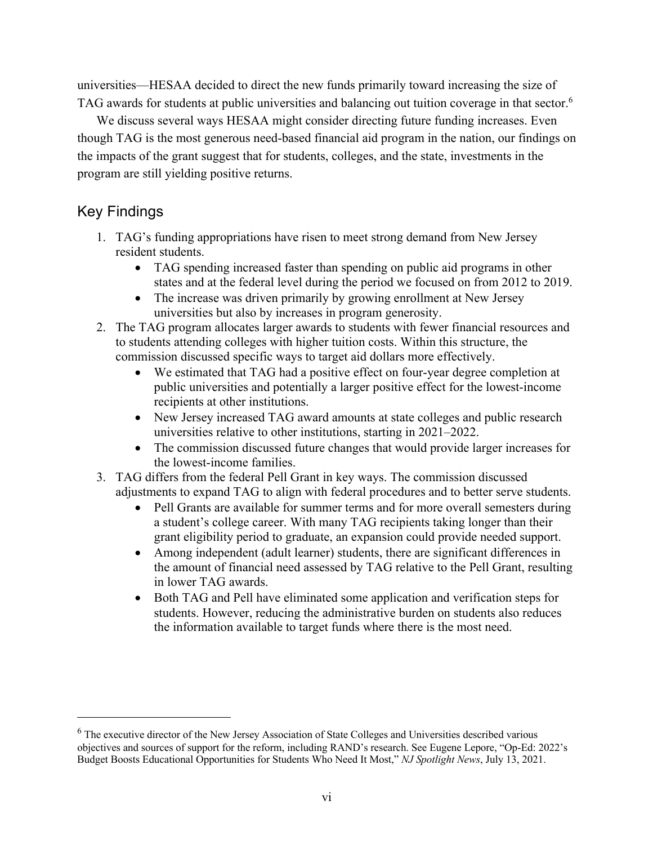universities—HESAA decided to direct the new funds primarily toward increasing the size of TAG awards for students at public universities and balancing out tuition coverage in that sector.<sup>6</sup>

We discuss several ways HESAA might consider directing future funding increases. Even though TAG is the most generous need-based financial aid program in the nation, our findings on the impacts of the grant suggest that for students, colleges, and the state, investments in the program are still yielding positive returns.

## Key Findings

- 1. TAG's funding appropriations have risen to meet strong demand from New Jersey resident students.
	- TAG spending increased faster than spending on public aid programs in other states and at the federal level during the period we focused on from 2012 to 2019.
	- The increase was driven primarily by growing enrollment at New Jersey universities but also by increases in program generosity.
- 2. The TAG program allocates larger awards to students with fewer financial resources and to students attending colleges with higher tuition costs. Within this structure, the commission discussed specific ways to target aid dollars more effectively.
	- We estimated that TAG had a positive effect on four-year degree completion at public universities and potentially a larger positive effect for the lowest-income recipients at other institutions.
	- New Jersey increased TAG award amounts at state colleges and public research universities relative to other institutions, starting in 2021–2022.
	- The commission discussed future changes that would provide larger increases for the lowest-income families.
- 3. TAG differs from the federal Pell Grant in key ways. The commission discussed adjustments to expand TAG to align with federal procedures and to better serve students.
	- Pell Grants are available for summer terms and for more overall semesters during a student's college career. With many TAG recipients taking longer than their grant eligibility period to graduate, an expansion could provide needed support.
	- Among independent (adult learner) students, there are significant differences in the amount of financial need assessed by TAG relative to the Pell Grant, resulting in lower TAG awards.
	- Both TAG and Pell have eliminated some application and verification steps for students. However, reducing the administrative burden on students also reduces the information available to target funds where there is the most need.

<sup>&</sup>lt;sup>6</sup> The executive director of the New Jersey Association of State Colleges and Universities described various objectives and sources of support for the reform, including RAND's research. See Eugene Lepore, "Op-Ed: 2022's Budget Boosts Educational Opportunities for Students Who Need It Most," *NJ Spotlight News*, July 13, 2021.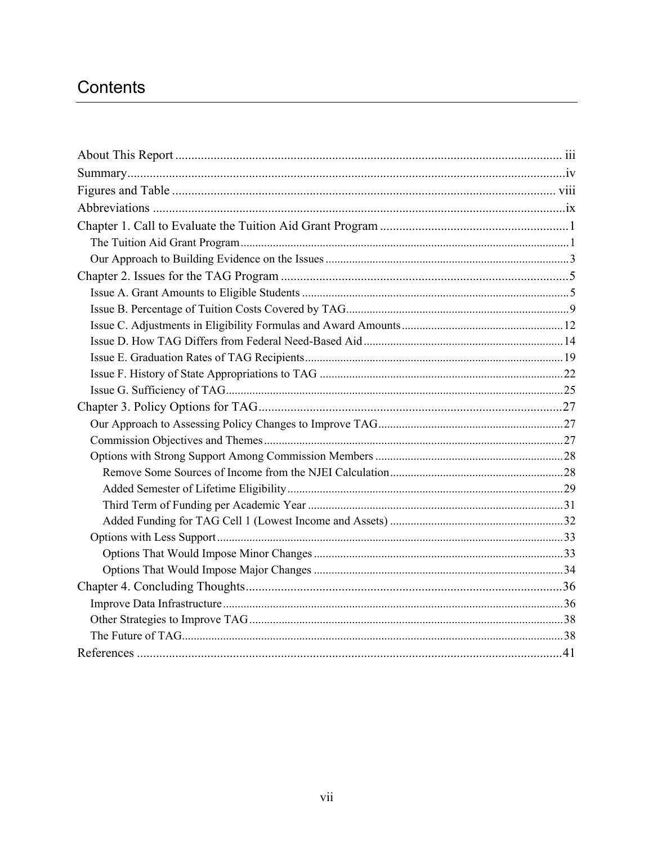# Contents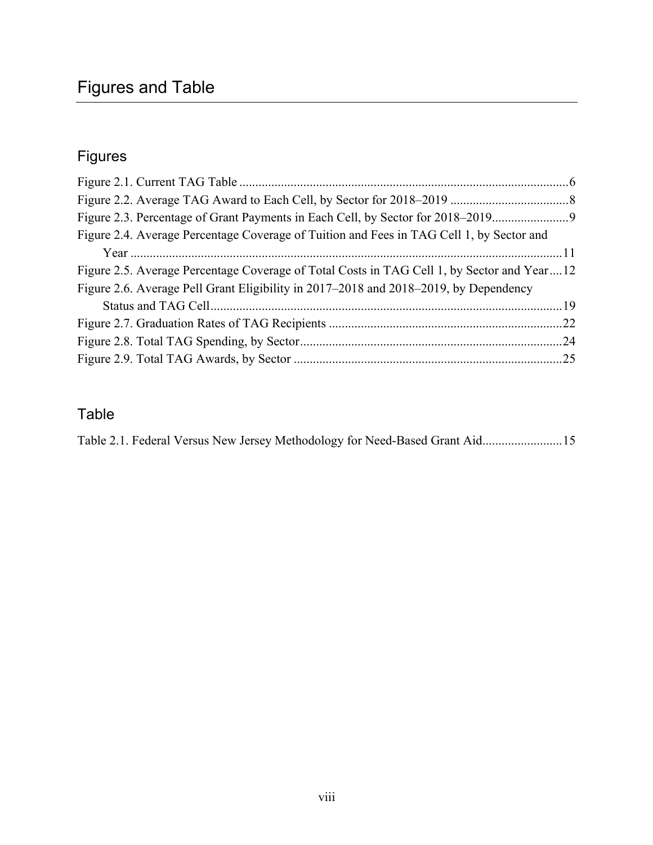# Figures and Table

# Figures

| Figure 2.3. Percentage of Grant Payments in Each Cell, by Sector for 2018–2019             |  |
|--------------------------------------------------------------------------------------------|--|
| Figure 2.4. Average Percentage Coverage of Tuition and Fees in TAG Cell 1, by Sector and   |  |
|                                                                                            |  |
| Figure 2.5. Average Percentage Coverage of Total Costs in TAG Cell 1, by Sector and Year12 |  |
| Figure 2.6. Average Pell Grant Eligibility in 2017–2018 and 2018–2019, by Dependency       |  |
|                                                                                            |  |
|                                                                                            |  |
|                                                                                            |  |
|                                                                                            |  |

# Table

| Table 2.1. Federal Versus New Jersey Methodology for Need-Based Grant Aid15 |  |  |
|-----------------------------------------------------------------------------|--|--|
|-----------------------------------------------------------------------------|--|--|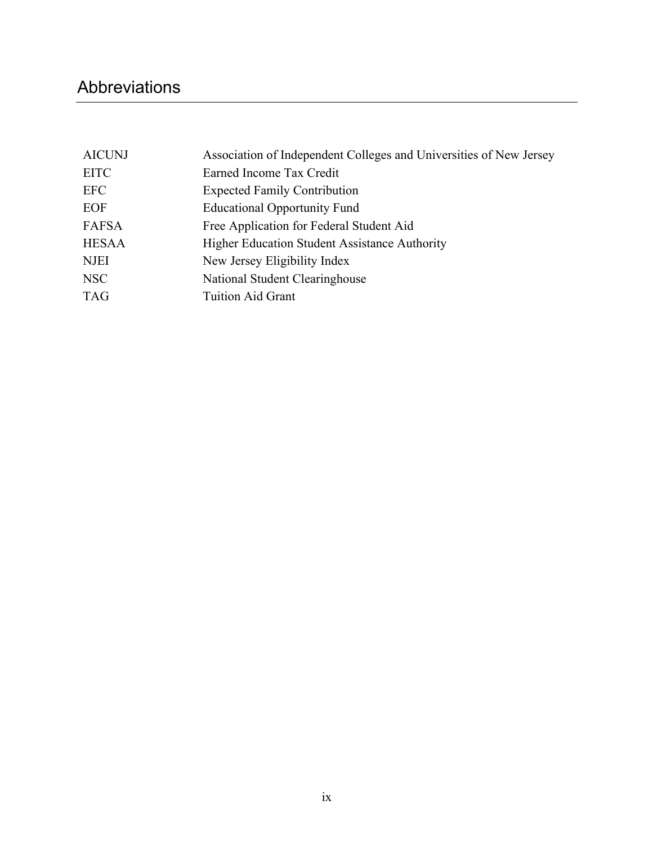# Abbreviations

| <b>AICUNJ</b> | Association of Independent Colleges and Universities of New Jersey |
|---------------|--------------------------------------------------------------------|
| <b>EITC</b>   | <b>Earned Income Tax Credit</b>                                    |
| <b>EFC</b>    | <b>Expected Family Contribution</b>                                |
| EOF           | <b>Educational Opportunity Fund</b>                                |
| <b>FAFSA</b>  | Free Application for Federal Student Aid                           |
| <b>HESAA</b>  | <b>Higher Education Student Assistance Authority</b>               |
| <b>NJEI</b>   | New Jersey Eligibility Index                                       |
| <b>NSC</b>    | National Student Clearinghouse                                     |
| <b>TAG</b>    | <b>Tuition Aid Grant</b>                                           |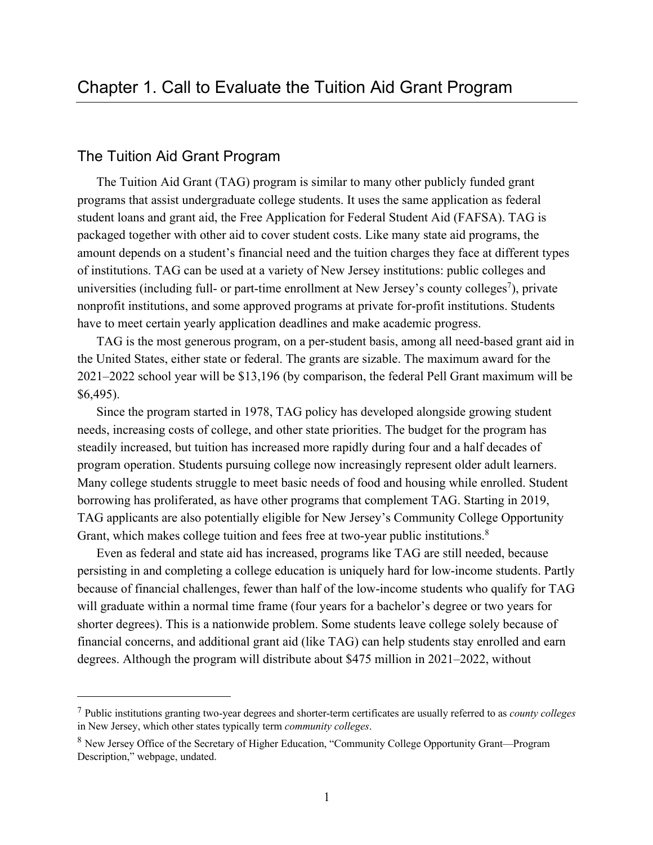## The Tuition Aid Grant Program

The Tuition Aid Grant (TAG) program is similar to many other publicly funded grant programs that assist undergraduate college students. It uses the same application as federal student loans and grant aid, the Free Application for Federal Student Aid (FAFSA). TAG is packaged together with other aid to cover student costs. Like many state aid programs, the amount depends on a student's financial need and the tuition charges they face at different types of institutions. TAG can be used at a variety of New Jersey institutions: public colleges and universities (including full- or part-time enrollment at New Jersey's county colleges<sup>7</sup>), private nonprofit institutions, and some approved programs at private for-profit institutions. Students have to meet certain yearly application deadlines and make academic progress.

TAG is the most generous program, on a per-student basis, among all need-based grant aid in the United States, either state or federal. The grants are sizable. The maximum award for the 2021–2022 school year will be \$13,196 (by comparison, the federal Pell Grant maximum will be \$6,495).

Since the program started in 1978, TAG policy has developed alongside growing student needs, increasing costs of college, and other state priorities. The budget for the program has steadily increased, but tuition has increased more rapidly during four and a half decades of program operation. Students pursuing college now increasingly represent older adult learners. Many college students struggle to meet basic needs of food and housing while enrolled. Student borrowing has proliferated, as have other programs that complement TAG. Starting in 2019, TAG applicants are also potentially eligible for New Jersey's Community College Opportunity Grant, which makes college tuition and fees free at two-year public institutions.<sup>8</sup>

Even as federal and state aid has increased, programs like TAG are still needed, because persisting in and completing a college education is uniquely hard for low-income students. Partly because of financial challenges, fewer than half of the low-income students who qualify for TAG will graduate within a normal time frame (four years for a bachelor's degree or two years for shorter degrees). This is a nationwide problem. Some students leave college solely because of financial concerns, and additional grant aid (like TAG) can help students stay enrolled and earn degrees. Although the program will distribute about \$475 million in 2021–2022, without

<sup>7</sup> Public institutions granting two-year degrees and shorter-term certificates are usually referred to as *county colleges* in New Jersey, which other states typically term *community colleges*.

<sup>8</sup> New Jersey Office of the Secretary of Higher Education, "Community College Opportunity Grant—Program Description," webpage, undated.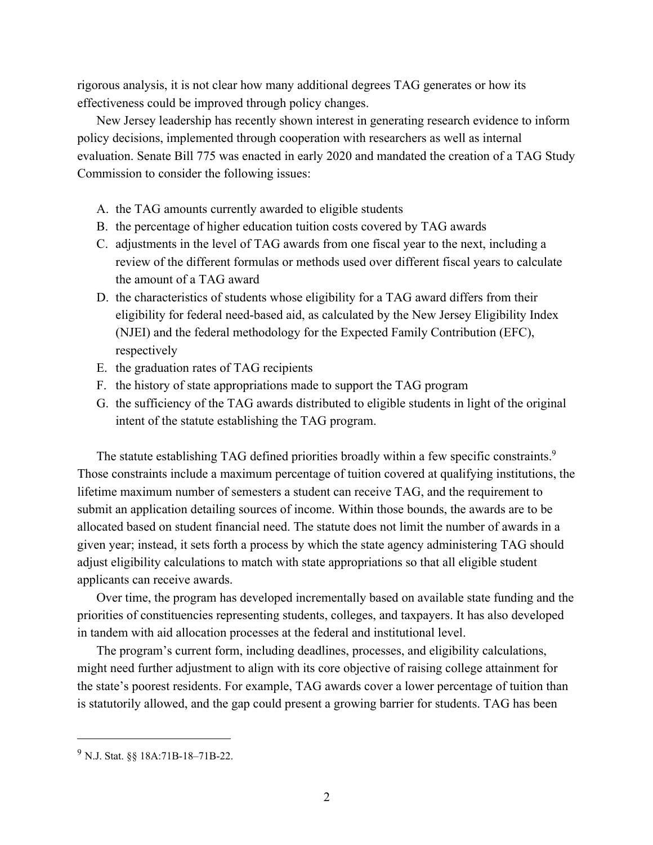rigorous analysis, it is not clear how many additional degrees TAG generates or how its effectiveness could be improved through policy changes.

New Jersey leadership has recently shown interest in generating research evidence to inform policy decisions, implemented through cooperation with researchers as well as internal evaluation. Senate Bill 775 was enacted in early 2020 and mandated the creation of a TAG Study Commission to consider the following issues:

- A. the TAG amounts currently awarded to eligible students
- B. the percentage of higher education tuition costs covered by TAG awards
- C. adjustments in the level of TAG awards from one fiscal year to the next, including a review of the different formulas or methods used over different fiscal years to calculate the amount of a TAG award
- D. the characteristics of students whose eligibility for a TAG award differs from their eligibility for federal need-based aid, as calculated by the New Jersey Eligibility Index (NJEI) and the federal methodology for the Expected Family Contribution (EFC), respectively
- E. the graduation rates of TAG recipients
- F. the history of state appropriations made to support the TAG program
- G. the sufficiency of the TAG awards distributed to eligible students in light of the original intent of the statute establishing the TAG program.

The statute establishing TAG defined priorities broadly within a few specific constraints.<sup>9</sup> Those constraints include a maximum percentage of tuition covered at qualifying institutions, the lifetime maximum number of semesters a student can receive TAG, and the requirement to submit an application detailing sources of income. Within those bounds, the awards are to be allocated based on student financial need. The statute does not limit the number of awards in a given year; instead, it sets forth a process by which the state agency administering TAG should adjust eligibility calculations to match with state appropriations so that all eligible student applicants can receive awards.

Over time, the program has developed incrementally based on available state funding and the priorities of constituencies representing students, colleges, and taxpayers. It has also developed in tandem with aid allocation processes at the federal and institutional level.

The program's current form, including deadlines, processes, and eligibility calculations, might need further adjustment to align with its core objective of raising college attainment for the state's poorest residents. For example, TAG awards cover a lower percentage of tuition than is statutorily allowed, and the gap could present a growing barrier for students. TAG has been

<sup>9</sup> N.J. Stat. §§ 18A:71B-18–71B-22.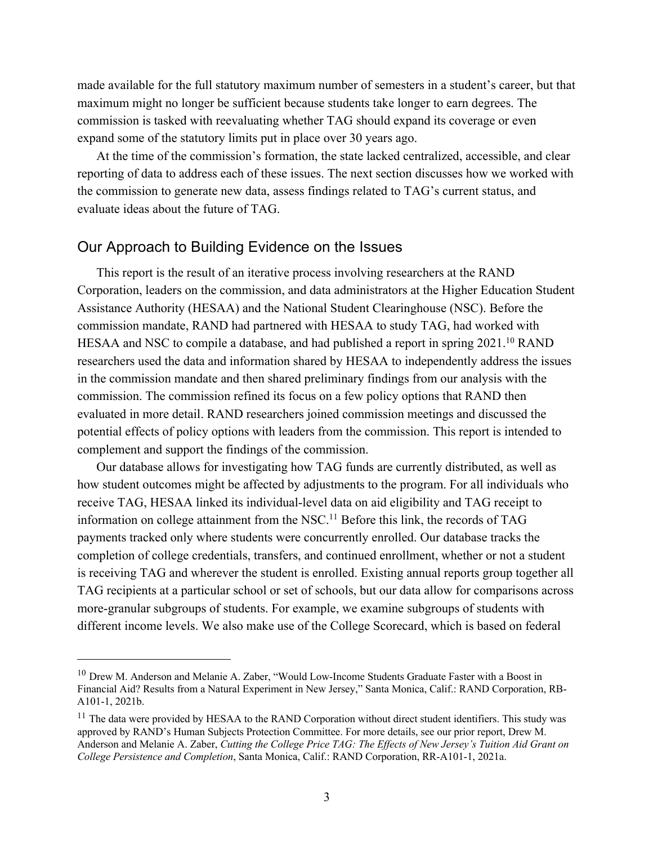made available for the full statutory maximum number of semesters in a student's career, but that maximum might no longer be sufficient because students take longer to earn degrees. The commission is tasked with reevaluating whether TAG should expand its coverage or even expand some of the statutory limits put in place over 30 years ago.

At the time of the commission's formation, the state lacked centralized, accessible, and clear reporting of data to address each of these issues. The next section discusses how we worked with the commission to generate new data, assess findings related to TAG's current status, and evaluate ideas about the future of TAG.

## Our Approach to Building Evidence on the Issues

This report is the result of an iterative process involving researchers at the RAND Corporation, leaders on the commission, and data administrators at the Higher Education Student Assistance Authority (HESAA) and the National Student Clearinghouse (NSC). Before the commission mandate, RAND had partnered with HESAA to study TAG, had worked with HESAA and NSC to compile a database, and had published a report in spring 2021.10 RAND researchers used the data and information shared by HESAA to independently address the issues in the commission mandate and then shared preliminary findings from our analysis with the commission. The commission refined its focus on a few policy options that RAND then evaluated in more detail. RAND researchers joined commission meetings and discussed the potential effects of policy options with leaders from the commission. This report is intended to complement and support the findings of the commission.

Our database allows for investigating how TAG funds are currently distributed, as well as how student outcomes might be affected by adjustments to the program. For all individuals who receive TAG, HESAA linked its individual-level data on aid eligibility and TAG receipt to information on college attainment from the NSC.<sup>11</sup> Before this link, the records of TAG payments tracked only where students were concurrently enrolled. Our database tracks the completion of college credentials, transfers, and continued enrollment, whether or not a student is receiving TAG and wherever the student is enrolled. Existing annual reports group together all TAG recipients at a particular school or set of schools, but our data allow for comparisons across more-granular subgroups of students. For example, we examine subgroups of students with different income levels. We also make use of the College Scorecard, which is based on federal

<sup>&</sup>lt;sup>10</sup> Drew M. Anderson and Melanie A. Zaber, "Would Low-Income Students Graduate Faster with a Boost in Financial Aid? Results from a Natural Experiment in New Jersey," Santa Monica, Calif.: RAND Corporation, RB-A101-1, 2021b.

<sup>&</sup>lt;sup>11</sup> The data were provided by HESAA to the RAND Corporation without direct student identifiers. This study was approved by RAND's Human Subjects Protection Committee. For more details, see our prior report, Drew M. Anderson and Melanie A. Zaber, *Cutting the College Price TAG: The Effects of New Jersey's Tuition Aid Grant on College Persistence and Completion*, Santa Monica, Calif.: RAND Corporation, RR-A101-1, 2021a.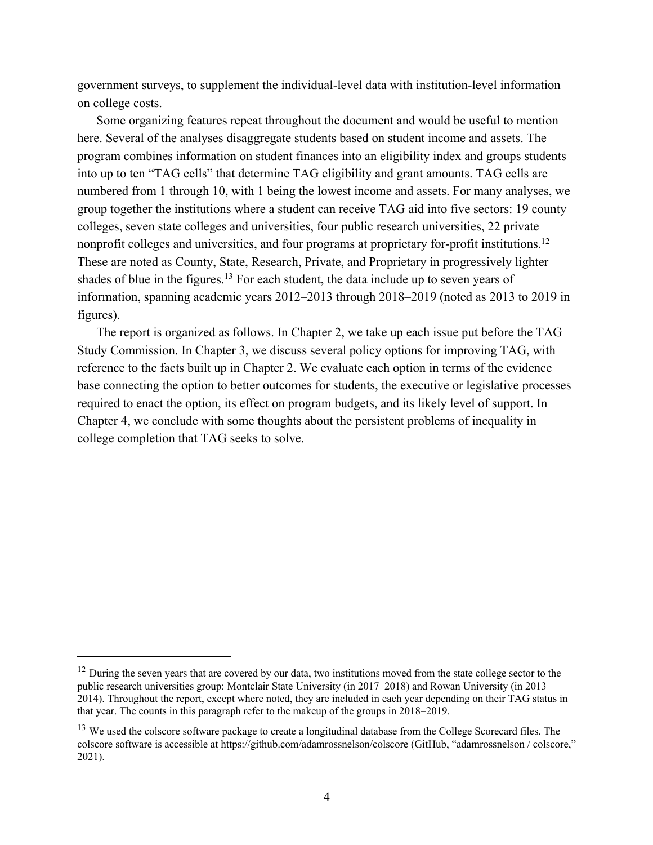government surveys, to supplement the individual-level data with institution-level information on college costs.

Some organizing features repeat throughout the document and would be useful to mention here. Several of the analyses disaggregate students based on student income and assets. The program combines information on student finances into an eligibility index and groups students into up to ten "TAG cells" that determine TAG eligibility and grant amounts. TAG cells are numbered from 1 through 10, with 1 being the lowest income and assets. For many analyses, we group together the institutions where a student can receive TAG aid into five sectors: 19 county colleges, seven state colleges and universities, four public research universities, 22 private nonprofit colleges and universities, and four programs at proprietary for-profit institutions.<sup>12</sup> These are noted as County, State, Research, Private, and Proprietary in progressively lighter shades of blue in the figures.<sup>13</sup> For each student, the data include up to seven years of information, spanning academic years 2012–2013 through 2018–2019 (noted as 2013 to 2019 in figures).

The report is organized as follows. In Chapter 2, we take up each issue put before the TAG Study Commission. In Chapter 3, we discuss several policy options for improving TAG, with reference to the facts built up in Chapter 2. We evaluate each option in terms of the evidence base connecting the option to better outcomes for students, the executive or legislative processes required to enact the option, its effect on program budgets, and its likely level of support. In Chapter 4, we conclude with some thoughts about the persistent problems of inequality in college completion that TAG seeks to solve.

 $12$  During the seven years that are covered by our data, two institutions moved from the state college sector to the public research universities group: Montclair State University (in 2017–2018) and Rowan University (in 2013– 2014). Throughout the report, except where noted, they are included in each year depending on their TAG status in that year. The counts in this paragraph refer to the makeup of the groups in 2018–2019.

<sup>&</sup>lt;sup>13</sup> We used the colscore software package to create a longitudinal database from the College Scorecard files. The colscore software is accessible at<https://github.com/adamrossnelson/colscore>(GitHub, "adamrossnelson / colscore," 2021).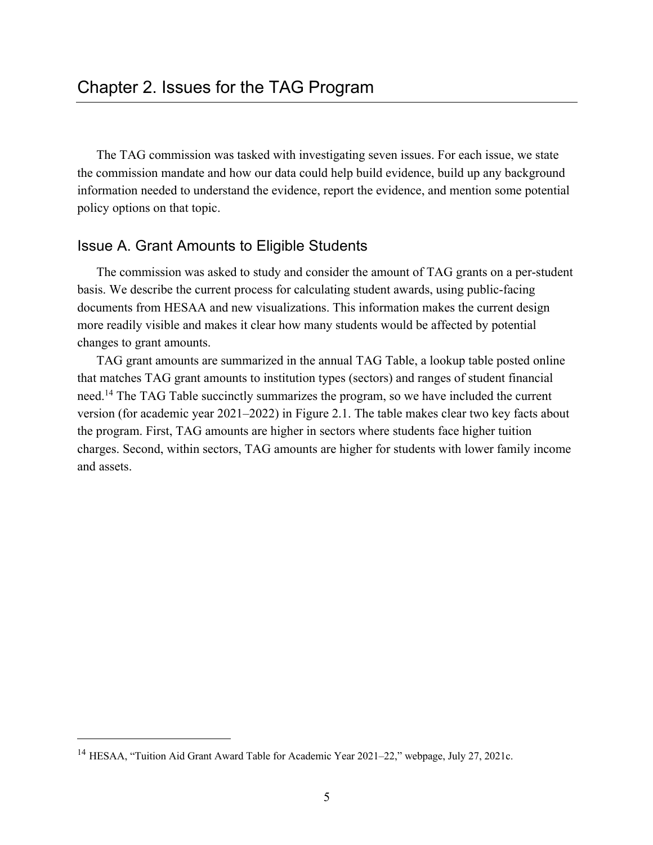The TAG commission was tasked with investigating seven issues. For each issue, we state the commission mandate and how our data could help build evidence, build up any background information needed to understand the evidence, report the evidence, and mention some potential policy options on that topic.

## Issue A. Grant Amounts to Eligible Students

The commission was asked to study and consider the amount of TAG grants on a per-student basis. We describe the current process for calculating student awards, using public-facing documents from HESAA and new visualizations. This information makes the current design more readily visible and makes it clear how many students would be affected by potential changes to grant amounts.

TAG grant amounts are summarized in the annual TAG Table, a lookup table posted online that matches TAG grant amounts to institution types (sectors) and ranges of student financial need.14 The TAG Table succinctly summarizes the program, so we have included the current version (for academic year 2021–2022) in Figure 2.1. The table makes clear two key facts about the program. First, TAG amounts are higher in sectors where students face higher tuition charges. Second, within sectors, TAG amounts are higher for students with lower family income and assets.

<sup>&</sup>lt;sup>14</sup> HESAA, "Tuition Aid Grant Award Table for Academic Year 2021–22," webpage, July 27, 2021c.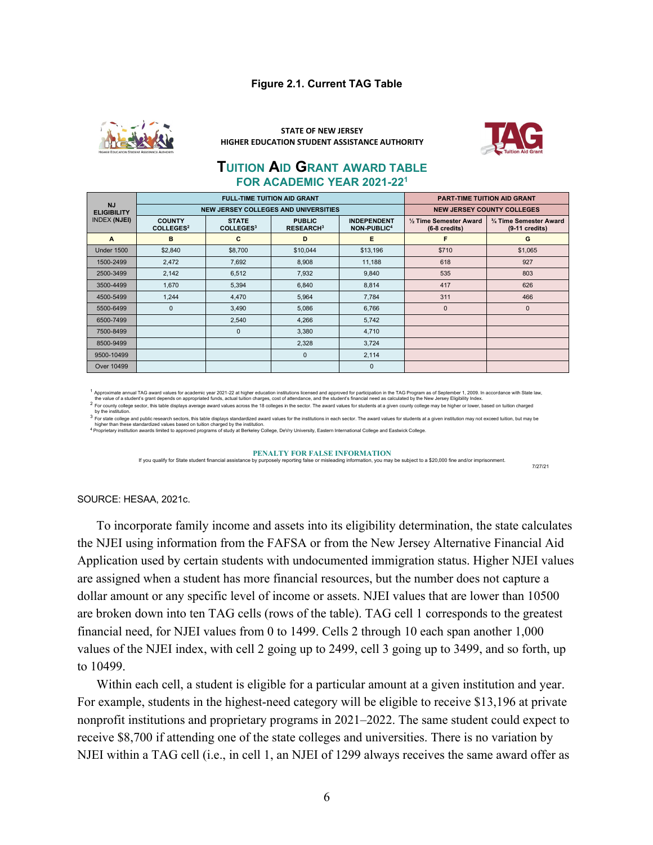#### **Figure 2.1. Current TAG Table**



**STATE OF NEW JERSEY HIGHER EDUCATION STUDENT ASSISTANCE AUTHORITY**



### **TUITION AID GRANT AWARD TABLE FOR ACADEMIC YEAR 2021-221**

|                          | <b>FULL-TIME TUITION AID GRANT</b>          |                                       |                                   | <b>PART-TIME TUITION AID GRANT</b>                  |                                                                |                                             |
|--------------------------|---------------------------------------------|---------------------------------------|-----------------------------------|-----------------------------------------------------|----------------------------------------------------------------|---------------------------------------------|
| NJ<br><b>ELIGIBILITY</b> | <b>NEW JERSEY COLLEGES AND UNIVERSITIES</b> |                                       |                                   | <b>NEW JERSEY COUNTY COLLEGES</b>                   |                                                                |                                             |
| <b>INDEX (NJEI)</b>      | <b>COUNTY</b><br>COLLEGES <sup>2</sup>      | <b>STATE</b><br>COLLEGES <sup>3</sup> | <b>PUBLIC</b><br><b>RESEARCH3</b> | <b>INDEPENDENT</b><br><b>NON-PUBLIC<sup>4</sup></b> | 1/ <sub>2</sub> Time Semester Award<br>$(6-8 \text{ credits})$ | 3/4 Time Semester Award<br>$(9-11$ credits) |
| $\mathbf{A}$             | B                                           | C                                     | D                                 | E                                                   | F                                                              | G                                           |
| <b>Under 1500</b>        | \$2,840                                     | \$8,700                               | \$10,044                          | \$13,196                                            | \$710                                                          | \$1,065                                     |
| 1500-2499                | 2.472                                       | 7.692                                 | 8.908                             | 11.188                                              | 618                                                            | 927                                         |
| 2500-3499                | 2.142                                       | 6,512                                 | 7.932                             | 9.840                                               | 535                                                            | 803                                         |
| 3500-4499                | 1,670                                       | 5,394                                 | 6,840                             | 8,814                                               | 417                                                            | 626                                         |
| 4500-5499                | 1,244                                       | 4,470                                 | 5,964                             | 7,784                                               | 311                                                            | 466                                         |
| 5500-6499                | $\mathbf{0}$                                | 3,490                                 | 5,086                             | 6,766                                               | $\mathbf{0}$                                                   | $\mathbf{0}$                                |
| 6500-7499                |                                             | 2,540                                 | 4,266                             | 5,742                                               |                                                                |                                             |
| 7500-8499                |                                             | $\mathbf{0}$                          | 3,380                             | 4.710                                               |                                                                |                                             |
| 8500-9499                |                                             |                                       | 2,328                             | 3.724                                               |                                                                |                                             |
| 9500-10499               |                                             |                                       | $\mathbf{0}$                      | 2,114                                               |                                                                |                                             |
| Over 10499               |                                             |                                       |                                   | $\mathbf 0$                                         |                                                                |                                             |

1 Approximate annual TAG award values for academic year 2021-22 at higher education institutions licensed and approved for participation in the TAG Program as of September 1, 2009. In accordance with State law,<br>the value o <sup>2</sup> For county college sector, this table displays average award values across the 18 colleges in the sector. The award values for students at a given county college may be higher or lower, based on tuition charged<br>by the

 $3$  For state college and public research sectors, this table displays standardized award values for the institutions in each sector. The award values for students at a given institution may not exceed tuition, but may be

higher than these standardized values based on tuition charged by the institution.<br><sup>4</sup> Proprietary institution awards limited to approved programs of study at Berkeley College, DeVry University, Eastern International Colle



If you qualify for State student financial assistance by purposely reporting false or misleading information, you may be subject to a \$20,000 fine and/or imprisonment.

#### 7/27/21

#### SOURCE: HESAA, 2021c.

To incorporate family income and assets into its eligibility determination, the state calculates the NJEI using information from the FAFSA or from the New Jersey Alternative Financial Aid Application used by certain students with undocumented immigration status. Higher NJEI values are assigned when a student has more financial resources, but the number does not capture a dollar amount or any specific level of income or assets. NJEI values that are lower than 10500 are broken down into ten TAG cells (rows of the table). TAG cell 1 corresponds to the greatest financial need, for NJEI values from 0 to 1499. Cells 2 through 10 each span another 1,000 values of the NJEI index, with cell 2 going up to 2499, cell 3 going up to 3499, and so forth, up to 10499.

Within each cell, a student is eligible for a particular amount at a given institution and year. For example, students in the highest-need category will be eligible to receive \$13,196 at private nonprofit institutions and proprietary programs in 2021–2022. The same student could expect to receive \$8,700 if attending one of the state colleges and universities. There is no variation by NJEI within a TAG cell (i.e., in cell 1, an NJEI of 1299 always receives the same award offer as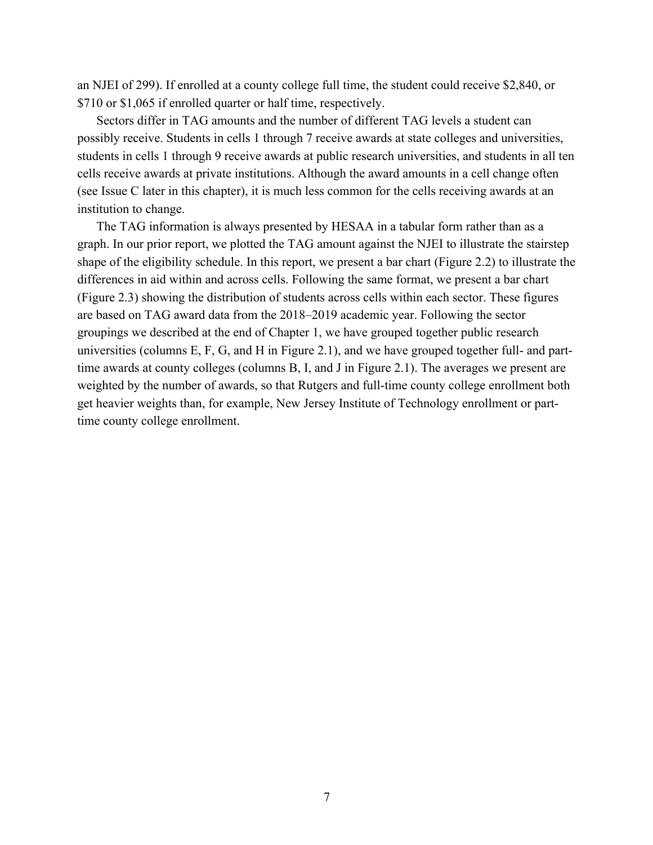an NJEI of 299). If enrolled at a county college full time, the student could receive \$2,840, or \$710 or \$1,065 if enrolled quarter or half time, respectively.

Sectors differ in TAG amounts and the number of different TAG levels a student can possibly receive. Students in cells 1 through 7 receive awards at state colleges and universities, students in cells 1 through 9 receive awards at public research universities, and students in all ten cells receive awards at private institutions. Although the award amounts in a cell change often (see Issue C later in this chapter), it is much less common for the cells receiving awards at an institution to change.

The TAG information is always presented by HESAA in a tabular form rather than as a graph. In our prior report, we plotted the TAG amount against the NJEI to illustrate the stairstep shape of the eligibility schedule. In this report, we present a bar chart (Figure 2.2) to illustrate the differences in aid within and across cells. Following the same format, we present a bar chart (Figure 2.3) showing the distribution of students across cells within each sector. These figures are based on TAG award data from the 2018–2019 academic year. Following the sector groupings we described at the end of Chapter 1, we have grouped together public research universities (columns E, F, G, and H in Figure 2.1), and we have grouped together full- and parttime awards at county colleges (columns B, I, and J in Figure 2.1). The averages we present are weighted by the number of awards, so that Rutgers and full-time county college enrollment both get heavier weights than, for example, New Jersey Institute of Technology enrollment or parttime county college enrollment.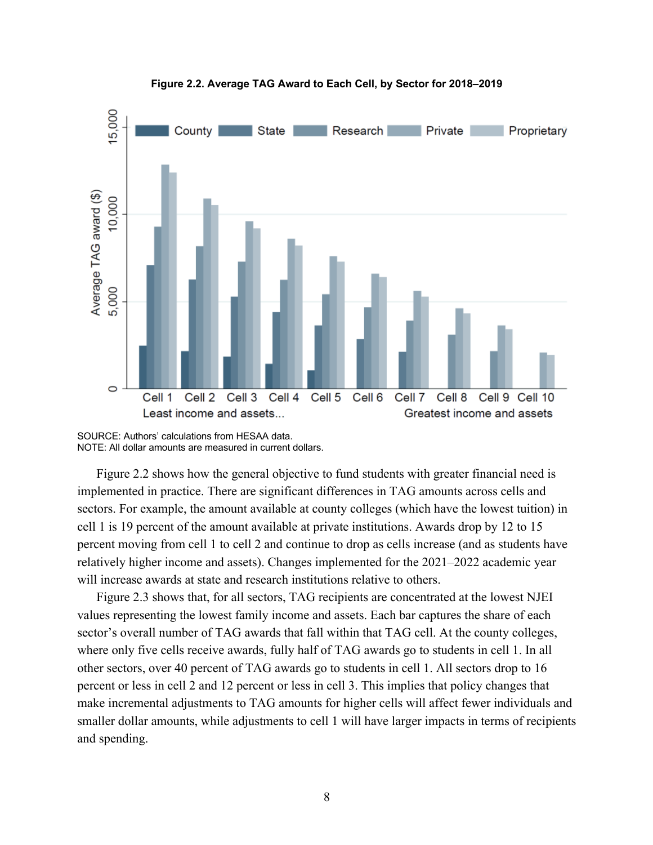

**Figure 2.2. Average TAG Award to Each Cell, by Sector for 2018–2019**

Figure 2.2 shows how the general objective to fund students with greater financial need is implemented in practice. There are significant differences in TAG amounts across cells and sectors. For example, the amount available at county colleges (which have the lowest tuition) in cell 1 is 19 percent of the amount available at private institutions. Awards drop by 12 to 15 percent moving from cell 1 to cell 2 and continue to drop as cells increase (and as students have relatively higher income and assets). Changes implemented for the 2021–2022 academic year will increase awards at state and research institutions relative to others.

Figure 2.3 shows that, for all sectors, TAG recipients are concentrated at the lowest NJEI values representing the lowest family income and assets. Each bar captures the share of each sector's overall number of TAG awards that fall within that TAG cell. At the county colleges, where only five cells receive awards, fully half of TAG awards go to students in cell 1. In all other sectors, over 40 percent of TAG awards go to students in cell 1. All sectors drop to 16 percent or less in cell 2 and 12 percent or less in cell 3. This implies that policy changes that make incremental adjustments to TAG amounts for higher cells will affect fewer individuals and smaller dollar amounts, while adjustments to cell 1 will have larger impacts in terms of recipients and spending.

SOURCE: Authors' calculations from HESAA data. NOTE: All dollar amounts are measured in current dollars.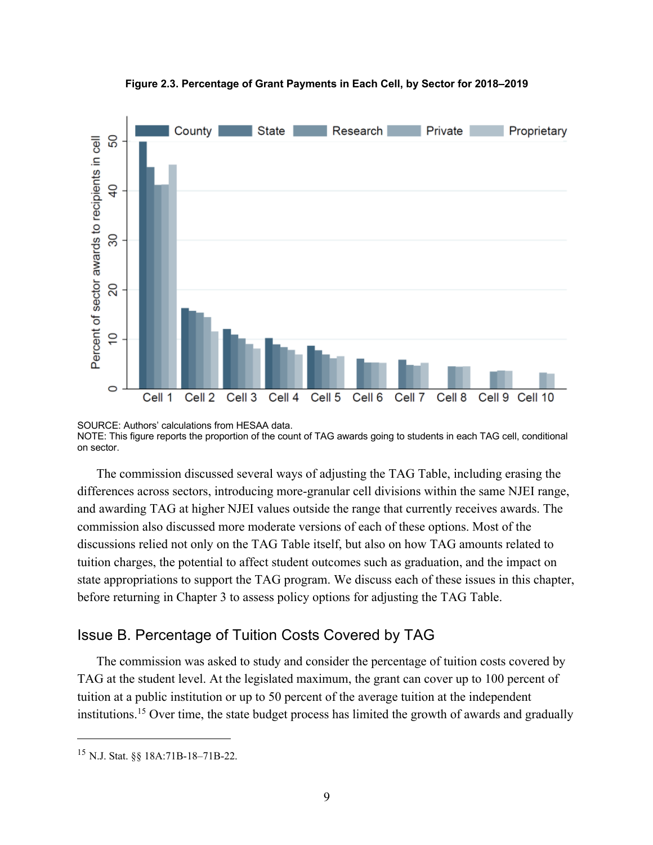**Figure 2.3. Percentage of Grant Payments in Each Cell, by Sector for 2018–2019**



SOURCE: Authors' calculations from HESAA data. NOTE: This figure reports the proportion of the count of TAG awards going to students in each TAG cell, conditional on sector.

The commission discussed several ways of adjusting the TAG Table, including erasing the differences across sectors, introducing more-granular cell divisions within the same NJEI range, and awarding TAG at higher NJEI values outside the range that currently receives awards. The commission also discussed more moderate versions of each of these options. Most of the discussions relied not only on the TAG Table itself, but also on how TAG amounts related to tuition charges, the potential to affect student outcomes such as graduation, and the impact on state appropriations to support the TAG program. We discuss each of these issues in this chapter, before returning in Chapter 3 to assess policy options for adjusting the TAG Table.

## Issue B. Percentage of Tuition Costs Covered by TAG

The commission was asked to study and consider the percentage of tuition costs covered by TAG at the student level. At the legislated maximum, the grant can cover up to 100 percent of tuition at a public institution or up to 50 percent of the average tuition at the independent institutions.15 Over time, the state budget process has limited the growth of awards and gradually

<sup>15</sup> N.J. Stat. §§ 18A:71B-18–71B-22.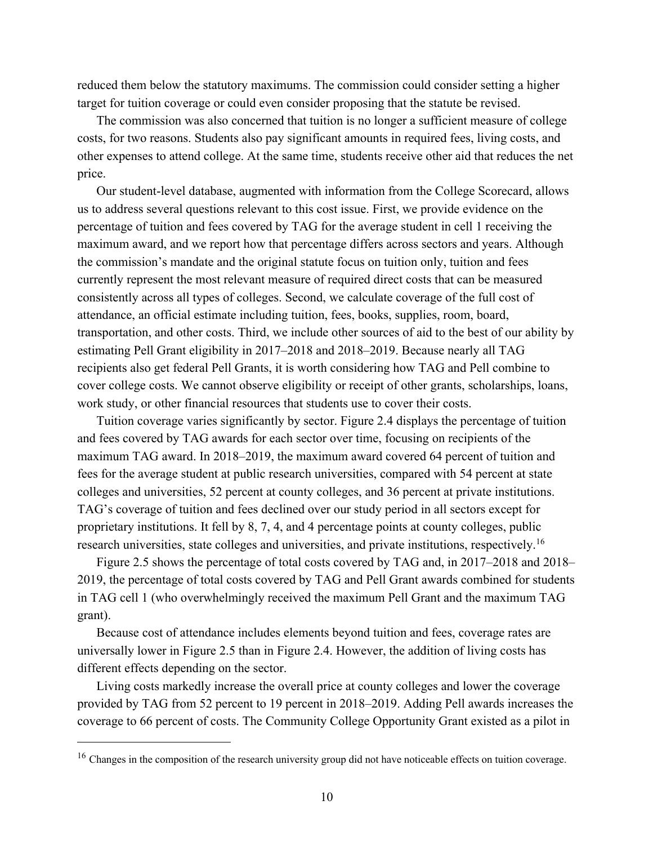reduced them below the statutory maximums. The commission could consider setting a higher target for tuition coverage or could even consider proposing that the statute be revised.

The commission was also concerned that tuition is no longer a sufficient measure of college costs, for two reasons. Students also pay significant amounts in required fees, living costs, and other expenses to attend college. At the same time, students receive other aid that reduces the net price.

Our student-level database, augmented with information from the College Scorecard, allows us to address several questions relevant to this cost issue. First, we provide evidence on the percentage of tuition and fees covered by TAG for the average student in cell 1 receiving the maximum award, and we report how that percentage differs across sectors and years. Although the commission's mandate and the original statute focus on tuition only, tuition and fees currently represent the most relevant measure of required direct costs that can be measured consistently across all types of colleges. Second, we calculate coverage of the full cost of attendance, an official estimate including tuition, fees, books, supplies, room, board, transportation, and other costs. Third, we include other sources of aid to the best of our ability by estimating Pell Grant eligibility in 2017–2018 and 2018–2019. Because nearly all TAG recipients also get federal Pell Grants, it is worth considering how TAG and Pell combine to cover college costs. We cannot observe eligibility or receipt of other grants, scholarships, loans, work study, or other financial resources that students use to cover their costs.

Tuition coverage varies significantly by sector. Figure 2.4 displays the percentage of tuition and fees covered by TAG awards for each sector over time, focusing on recipients of the maximum TAG award. In 2018–2019, the maximum award covered 64 percent of tuition and fees for the average student at public research universities, compared with 54 percent at state colleges and universities, 52 percent at county colleges, and 36 percent at private institutions. TAG's coverage of tuition and fees declined over our study period in all sectors except for proprietary institutions. It fell by 8, 7, 4, and 4 percentage points at county colleges, public research universities, state colleges and universities, and private institutions, respectively.16

Figure 2.5 shows the percentage of total costs covered by TAG and, in 2017–2018 and 2018– 2019, the percentage of total costs covered by TAG and Pell Grant awards combined for students in TAG cell 1 (who overwhelmingly received the maximum Pell Grant and the maximum TAG grant).

Because cost of attendance includes elements beyond tuition and fees, coverage rates are universally lower in Figure 2.5 than in Figure 2.4. However, the addition of living costs has different effects depending on the sector.

Living costs markedly increase the overall price at county colleges and lower the coverage provided by TAG from 52 percent to 19 percent in 2018–2019. Adding Pell awards increases the coverage to 66 percent of costs. The Community College Opportunity Grant existed as a pilot in

<sup>&</sup>lt;sup>16</sup> Changes in the composition of the research university group did not have noticeable effects on tuition coverage.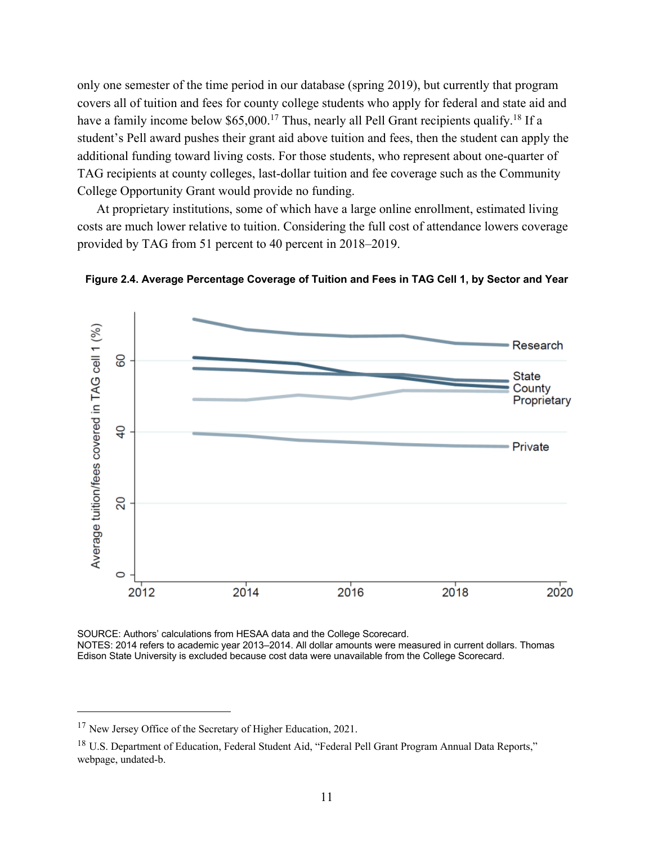only one semester of the time period in our database (spring 2019), but currently that program covers all of tuition and fees for county college students who apply for federal and state aid and have a family income below \$65,000.<sup>17</sup> Thus, nearly all Pell Grant recipients qualify.<sup>18</sup> If a student's Pell award pushes their grant aid above tuition and fees, then the student can apply the additional funding toward living costs. For those students, who represent about one-quarter of TAG recipients at county colleges, last-dollar tuition and fee coverage such as the Community College Opportunity Grant would provide no funding.

At proprietary institutions, some of which have a large online enrollment, estimated living costs are much lower relative to tuition. Considering the full cost of attendance lowers coverage provided by TAG from 51 percent to 40 percent in 2018–2019.



**Figure 2.4. Average Percentage Coverage of Tuition and Fees in TAG Cell 1, by Sector and Year**

SOURCE: Authors' calculations from HESAA data and the College Scorecard. NOTES: 2014 refers to academic year 2013–2014. All dollar amounts were measured in current dollars. Thomas Edison State University is excluded because cost data were unavailable from the College Scorecard.

<sup>&</sup>lt;sup>17</sup> New Jersey Office of the Secretary of Higher Education, 2021.

<sup>&</sup>lt;sup>18</sup> U.S. Department of Education, Federal Student Aid, "Federal Pell Grant Program Annual Data Reports," webpage, undated-b.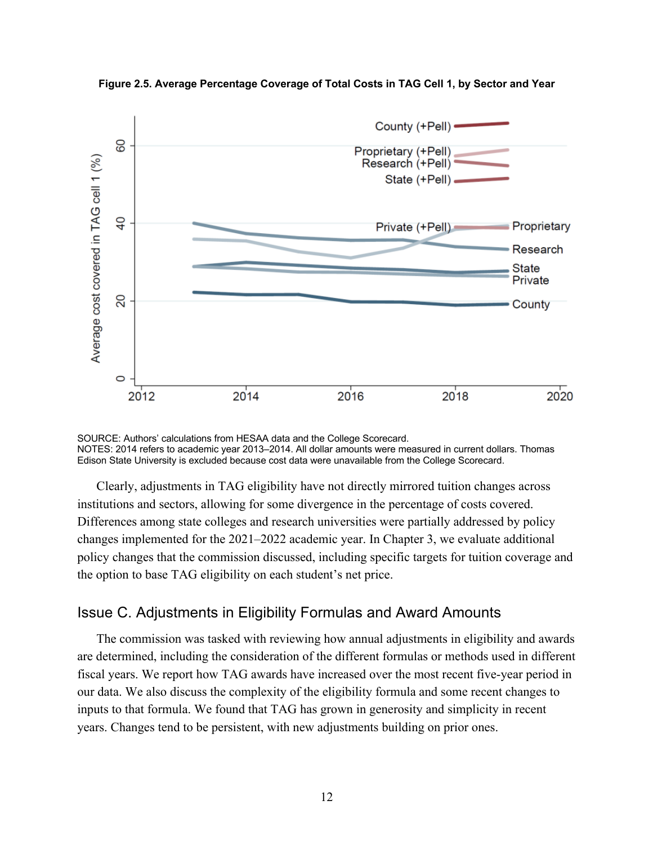



SOURCE: Authors' calculations from HESAA data and the College Scorecard. NOTES: 2014 refers to academic year 2013–2014. All dollar amounts were measured in current dollars. Thomas Edison State University is excluded because cost data were unavailable from the College Scorecard.

Clearly, adjustments in TAG eligibility have not directly mirrored tuition changes across institutions and sectors, allowing for some divergence in the percentage of costs covered. Differences among state colleges and research universities were partially addressed by policy changes implemented for the 2021–2022 academic year. In Chapter 3, we evaluate additional policy changes that the commission discussed, including specific targets for tuition coverage and the option to base TAG eligibility on each student's net price.

## Issue C. Adjustments in Eligibility Formulas and Award Amounts

The commission was tasked with reviewing how annual adjustments in eligibility and awards are determined, including the consideration of the different formulas or methods used in different fiscal years. We report how TAG awards have increased over the most recent five-year period in our data. We also discuss the complexity of the eligibility formula and some recent changes to inputs to that formula. We found that TAG has grown in generosity and simplicity in recent years. Changes tend to be persistent, with new adjustments building on prior ones.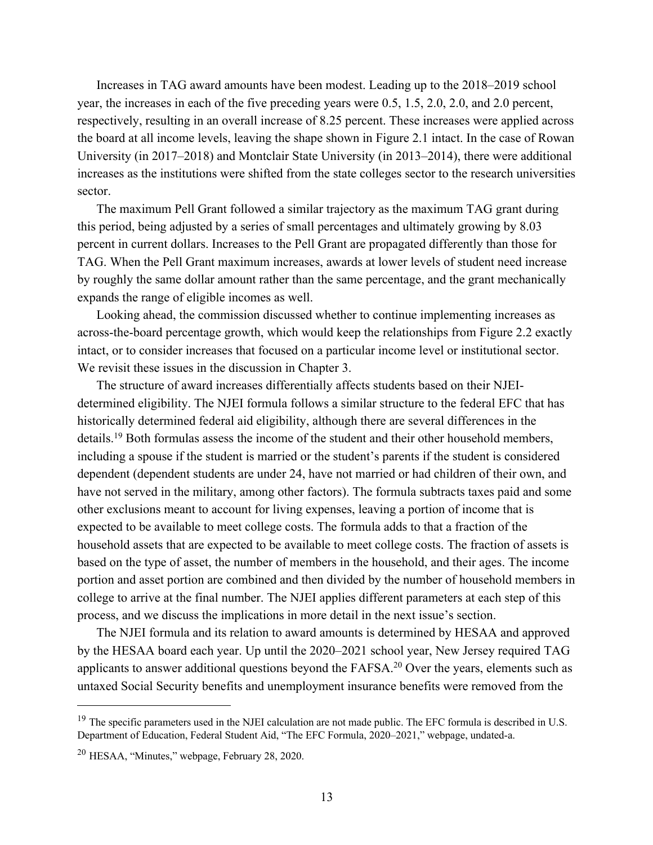Increases in TAG award amounts have been modest. Leading up to the 2018–2019 school year, the increases in each of the five preceding years were 0.5, 1.5, 2.0, 2.0, and 2.0 percent, respectively, resulting in an overall increase of 8.25 percent. These increases were applied across the board at all income levels, leaving the shape shown in Figure 2.1 intact. In the case of Rowan University (in 2017–2018) and Montclair State University (in 2013–2014), there were additional increases as the institutions were shifted from the state colleges sector to the research universities sector.

The maximum Pell Grant followed a similar trajectory as the maximum TAG grant during this period, being adjusted by a series of small percentages and ultimately growing by 8.03 percent in current dollars. Increases to the Pell Grant are propagated differently than those for TAG. When the Pell Grant maximum increases, awards at lower levels of student need increase by roughly the same dollar amount rather than the same percentage, and the grant mechanically expands the range of eligible incomes as well.

Looking ahead, the commission discussed whether to continue implementing increases as across-the-board percentage growth, which would keep the relationships from Figure 2.2 exactly intact, or to consider increases that focused on a particular income level or institutional sector. We revisit these issues in the discussion in Chapter 3.

The structure of award increases differentially affects students based on their NJEIdetermined eligibility. The NJEI formula follows a similar structure to the federal EFC that has historically determined federal aid eligibility, although there are several differences in the details.19 Both formulas assess the income of the student and their other household members, including a spouse if the student is married or the student's parents if the student is considered dependent (dependent students are under 24, have not married or had children of their own, and have not served in the military, among other factors). The formula subtracts taxes paid and some other exclusions meant to account for living expenses, leaving a portion of income that is expected to be available to meet college costs. The formula adds to that a fraction of the household assets that are expected to be available to meet college costs. The fraction of assets is based on the type of asset, the number of members in the household, and their ages. The income portion and asset portion are combined and then divided by the number of household members in college to arrive at the final number. The NJEI applies different parameters at each step of this process, and we discuss the implications in more detail in the next issue's section.

The NJEI formula and its relation to award amounts is determined by HESAA and approved by the HESAA board each year. Up until the 2020–2021 school year, New Jersey required TAG applicants to answer additional questions beyond the FAFSA.<sup>20</sup> Over the years, elements such as untaxed Social Security benefits and unemployment insurance benefits were removed from the

 $19$  The specific parameters used in the NJEI calculation are not made public. The EFC formula is described in U.S. Department of Education, Federal Student Aid, "The EFC Formula, 2020–2021," webpage, undated-a.

<sup>20</sup> HESAA, "Minutes," webpage, February 28, 2020.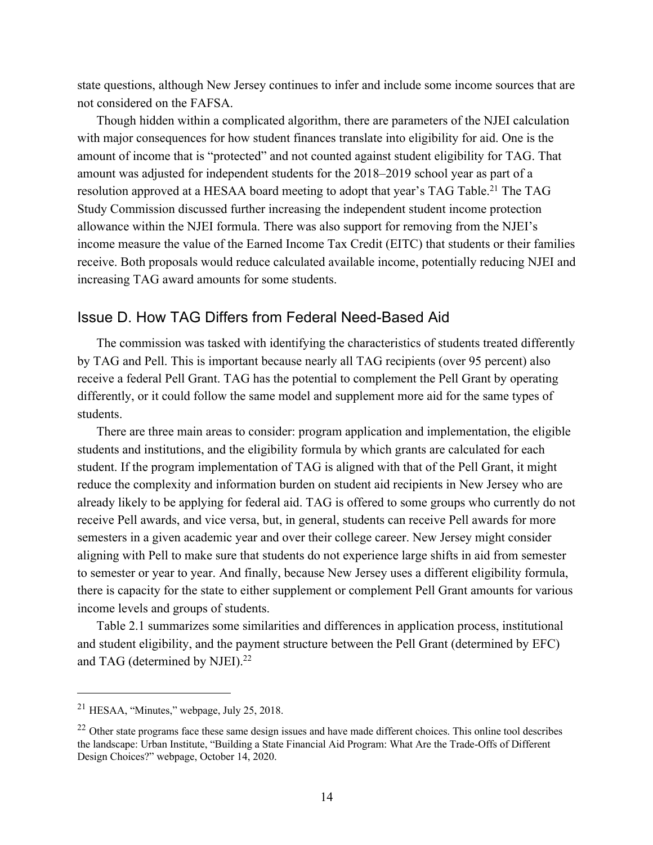state questions, although New Jersey continues to infer and include some income sources that are not considered on the FAFSA.

Though hidden within a complicated algorithm, there are parameters of the NJEI calculation with major consequences for how student finances translate into eligibility for aid. One is the amount of income that is "protected" and not counted against student eligibility for TAG. That amount was adjusted for independent students for the 2018–2019 school year as part of a resolution approved at a HESAA board meeting to adopt that year's TAG Table.<sup>21</sup> The TAG Study Commission discussed further increasing the independent student income protection allowance within the NJEI formula. There was also support for removing from the NJEI's income measure the value of the Earned Income Tax Credit (EITC) that students or their families receive. Both proposals would reduce calculated available income, potentially reducing NJEI and increasing TAG award amounts for some students.

### Issue D. How TAG Differs from Federal Need-Based Aid

The commission was tasked with identifying the characteristics of students treated differently by TAG and Pell. This is important because nearly all TAG recipients (over 95 percent) also receive a federal Pell Grant. TAG has the potential to complement the Pell Grant by operating differently, or it could follow the same model and supplement more aid for the same types of students.

There are three main areas to consider: program application and implementation, the eligible students and institutions, and the eligibility formula by which grants are calculated for each student. If the program implementation of TAG is aligned with that of the Pell Grant, it might reduce the complexity and information burden on student aid recipients in New Jersey who are already likely to be applying for federal aid. TAG is offered to some groups who currently do not receive Pell awards, and vice versa, but, in general, students can receive Pell awards for more semesters in a given academic year and over their college career. New Jersey might consider aligning with Pell to make sure that students do not experience large shifts in aid from semester to semester or year to year. And finally, because New Jersey uses a different eligibility formula, there is capacity for the state to either supplement or complement Pell Grant amounts for various income levels and groups of students.

Table 2.1 summarizes some similarities and differences in application process, institutional and student eligibility, and the payment structure between the Pell Grant (determined by EFC) and TAG (determined by NJEI).<sup>22</sup>

<sup>21</sup> HESAA, "Minutes," webpage, July 25, 2018.

 $^{22}$  Other state programs face these same design issues and have made different choices. This online tool describes the landscape: Urban Institute, "Building a State Financial Aid Program: What Are the Trade-Offs of Different Design Choices?" webpage, October 14, 2020.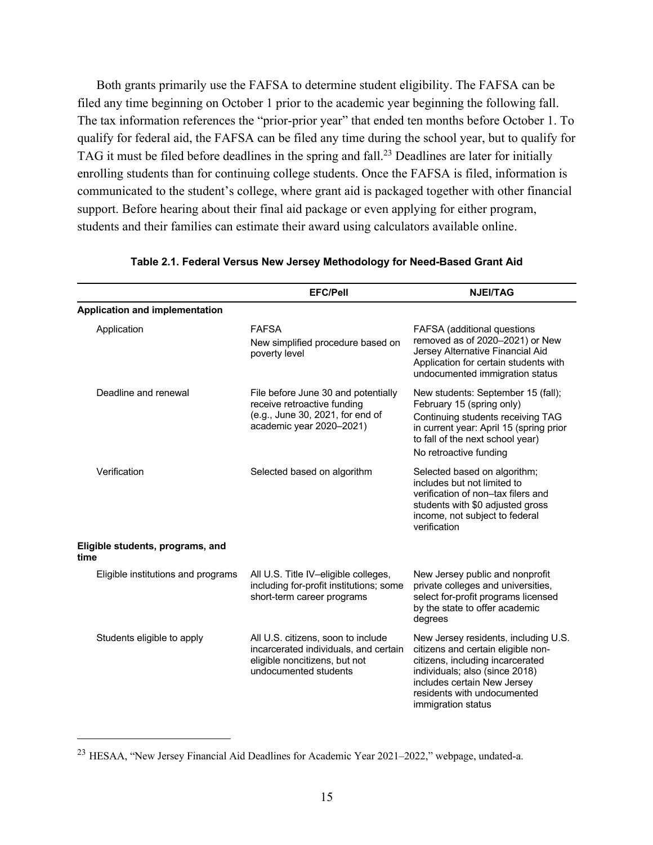Both grants primarily use the FAFSA to determine student eligibility. The FAFSA can be filed any time beginning on October 1 prior to the academic year beginning the following fall. The tax information references the "prior-prior year" that ended ten months before October 1. To qualify for federal aid, the FAFSA can be filed any time during the school year, but to qualify for TAG it must be filed before deadlines in the spring and fall.<sup>23</sup> Deadlines are later for initially enrolling students than for continuing college students. Once the FAFSA is filed, information is communicated to the student's college, where grant aid is packaged together with other financial support. Before hearing about their final aid package or even applying for either program, students and their families can estimate their award using calculators available online.

|                                          | <b>EFC/Pell</b>                                                                                                                       | <b>NJEI/TAG</b>                                                                                                                                                                                                                      |
|------------------------------------------|---------------------------------------------------------------------------------------------------------------------------------------|--------------------------------------------------------------------------------------------------------------------------------------------------------------------------------------------------------------------------------------|
| <b>Application and implementation</b>    |                                                                                                                                       |                                                                                                                                                                                                                                      |
| Application                              | <b>FAFSA</b><br>New simplified procedure based on<br>poverty level                                                                    | FAFSA (additional questions<br>removed as of 2020-2021) or New<br>Jersey Alternative Financial Aid<br>Application for certain students with<br>undocumented immigration status                                                       |
| Deadline and renewal                     | File before June 30 and potentially<br>receive retroactive funding<br>(e.g., June 30, 2021, for end of<br>academic year 2020-2021)    | New students: September 15 (fall);<br>February 15 (spring only)<br>Continuing students receiving TAG<br>in current year: April 15 (spring prior<br>to fall of the next school year)<br>No retroactive funding                        |
| Verification                             | Selected based on algorithm                                                                                                           | Selected based on algorithm;<br>includes but not limited to<br>verification of non-tax filers and<br>students with \$0 adjusted gross<br>income, not subject to federal<br>verification                                              |
| Eligible students, programs, and<br>time |                                                                                                                                       |                                                                                                                                                                                                                                      |
| Eligible institutions and programs       | All U.S. Title IV-eligible colleges,<br>including for-profit institutions; some<br>short-term career programs                         | New Jersey public and nonprofit<br>private colleges and universities,<br>select for-profit programs licensed<br>by the state to offer academic<br>degrees                                                                            |
| Students eligible to apply               | All U.S. citizens, soon to include<br>incarcerated individuals, and certain<br>eligible noncitizens, but not<br>undocumented students | New Jersey residents, including U.S.<br>citizens and certain eligible non-<br>citizens, including incarcerated<br>individuals; also (since 2018)<br>includes certain New Jersey<br>residents with undocumented<br>immigration status |

#### **Table 2.1. Federal Versus New Jersey Methodology for Need-Based Grant Aid**

<sup>&</sup>lt;sup>23</sup> HESAA, "New Jersey Financial Aid Deadlines for Academic Year 2021–2022," webpage, undated-a.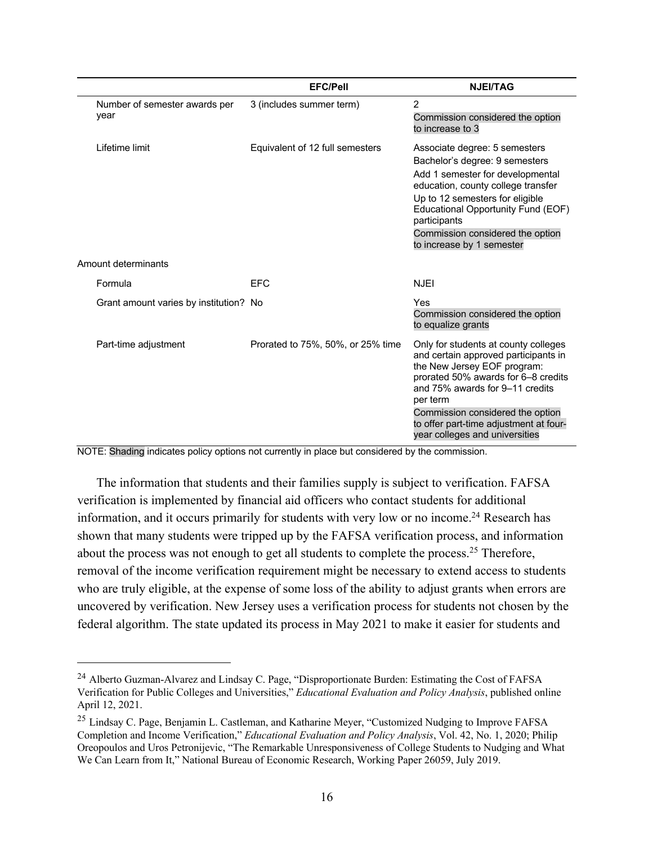|                                        | <b>EFC/Pell</b>                   | <b>NJEI/TAG</b>                                                                                                                                                                                                                    |
|----------------------------------------|-----------------------------------|------------------------------------------------------------------------------------------------------------------------------------------------------------------------------------------------------------------------------------|
| Number of semester awards per<br>year  | 3 (includes summer term)          | 2<br>Commission considered the option<br>to increase to 3                                                                                                                                                                          |
| Lifetime limit                         | Equivalent of 12 full semesters   | Associate degree: 5 semesters<br>Bachelor's degree: 9 semesters<br>Add 1 semester for developmental<br>education, county college transfer<br>Up to 12 semesters for eligible<br>Educational Opportunity Fund (EOF)<br>participants |
|                                        |                                   | Commission considered the option<br>to increase by 1 semester                                                                                                                                                                      |
| Amount determinants                    |                                   |                                                                                                                                                                                                                                    |
| Formula                                | <b>EFC</b>                        | <b>NJEI</b>                                                                                                                                                                                                                        |
| Grant amount varies by institution? No |                                   | Yes<br>Commission considered the option<br>to equalize grants                                                                                                                                                                      |
| Part-time adjustment                   | Prorated to 75%, 50%, or 25% time | Only for students at county colleges<br>and certain approved participants in<br>the New Jersey EOF program:<br>prorated 50% awards for 6-8 credits<br>and 75% awards for 9-11 credits<br>per term                                  |
|                                        |                                   | Commission considered the option<br>to offer part-time adjustment at four-<br>year colleges and universities                                                                                                                       |

NOTE: Shading indicates policy options not currently in place but considered by the commission.

The information that students and their families supply is subject to verification. FAFSA verification is implemented by financial aid officers who contact students for additional information, and it occurs primarily for students with very low or no income.<sup>24</sup> Research has shown that many students were tripped up by the FAFSA verification process, and information about the process was not enough to get all students to complete the process.<sup>25</sup> Therefore, removal of the income verification requirement might be necessary to extend access to students who are truly eligible, at the expense of some loss of the ability to adjust grants when errors are uncovered by verification. New Jersey uses a verification process for students not chosen by the federal algorithm. The state updated its process in May 2021 to make it easier for students and

<sup>24</sup> Alberto Guzman-Alvarez and Lindsay C. Page, "Disproportionate Burden: Estimating the Cost of FAFSA Verification for Public Colleges and Universities," *Educational Evaluation and Policy Analysis*, published online April 12, 2021.

<sup>&</sup>lt;sup>25</sup> Lindsay C. Page, Benjamin L. Castleman, and Katharine Meyer, "Customized Nudging to Improve FAFSA Completion and Income Verification," *Educational Evaluation and Policy Analysis*, Vol. 42, No. 1, 2020; Philip Oreopoulos and Uros Petronijevic, "The Remarkable Unresponsiveness of College Students to Nudging and What We Can Learn from It," National Bureau of Economic Research, Working Paper 26059, July 2019.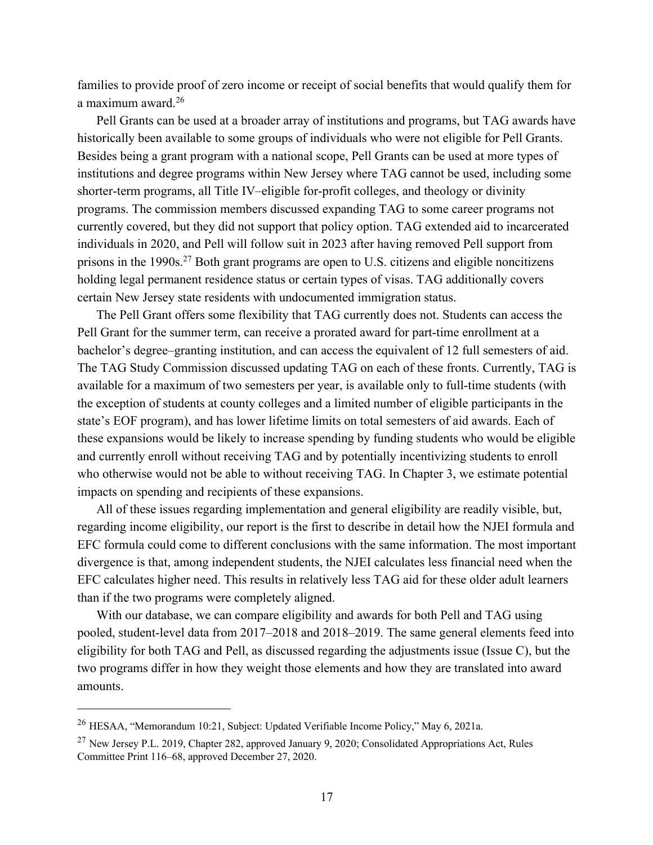families to provide proof of zero income or receipt of social benefits that would qualify them for a maximum award.26

Pell Grants can be used at a broader array of institutions and programs, but TAG awards have historically been available to some groups of individuals who were not eligible for Pell Grants. Besides being a grant program with a national scope, Pell Grants can be used at more types of institutions and degree programs within New Jersey where TAG cannot be used, including some shorter-term programs, all Title IV–eligible for-profit colleges, and theology or divinity programs. The commission members discussed expanding TAG to some career programs not currently covered, but they did not support that policy option. TAG extended aid to incarcerated individuals in 2020, and Pell will follow suit in 2023 after having removed Pell support from prisons in the 1990s.27 Both grant programs are open to U.S. citizens and eligible noncitizens holding legal permanent residence status or certain types of visas. TAG additionally covers certain New Jersey state residents with undocumented immigration status.

The Pell Grant offers some flexibility that TAG currently does not. Students can access the Pell Grant for the summer term, can receive a prorated award for part-time enrollment at a bachelor's degree–granting institution, and can access the equivalent of 12 full semesters of aid. The TAG Study Commission discussed updating TAG on each of these fronts. Currently, TAG is available for a maximum of two semesters per year, is available only to full-time students (with the exception of students at county colleges and a limited number of eligible participants in the state's EOF program), and has lower lifetime limits on total semesters of aid awards. Each of these expansions would be likely to increase spending by funding students who would be eligible and currently enroll without receiving TAG and by potentially incentivizing students to enroll who otherwise would not be able to without receiving TAG. In Chapter 3, we estimate potential impacts on spending and recipients of these expansions.

All of these issues regarding implementation and general eligibility are readily visible, but, regarding income eligibility, our report is the first to describe in detail how the NJEI formula and EFC formula could come to different conclusions with the same information. The most important divergence is that, among independent students, the NJEI calculates less financial need when the EFC calculates higher need. This results in relatively less TAG aid for these older adult learners than if the two programs were completely aligned.

With our database, we can compare eligibility and awards for both Pell and TAG using pooled, student-level data from 2017–2018 and 2018–2019. The same general elements feed into eligibility for both TAG and Pell, as discussed regarding the adjustments issue (Issue C), but the two programs differ in how they weight those elements and how they are translated into award amounts.

<sup>26</sup> HESAA, "Memorandum 10:21, Subject: Updated Verifiable Income Policy," May 6, 2021a.

 $^{27}$  New Jersey P.L. 2019, Chapter 282, approved January 9, 2020; Consolidated Appropriations Act, Rules Committee Print 116–68, approved December 27, 2020.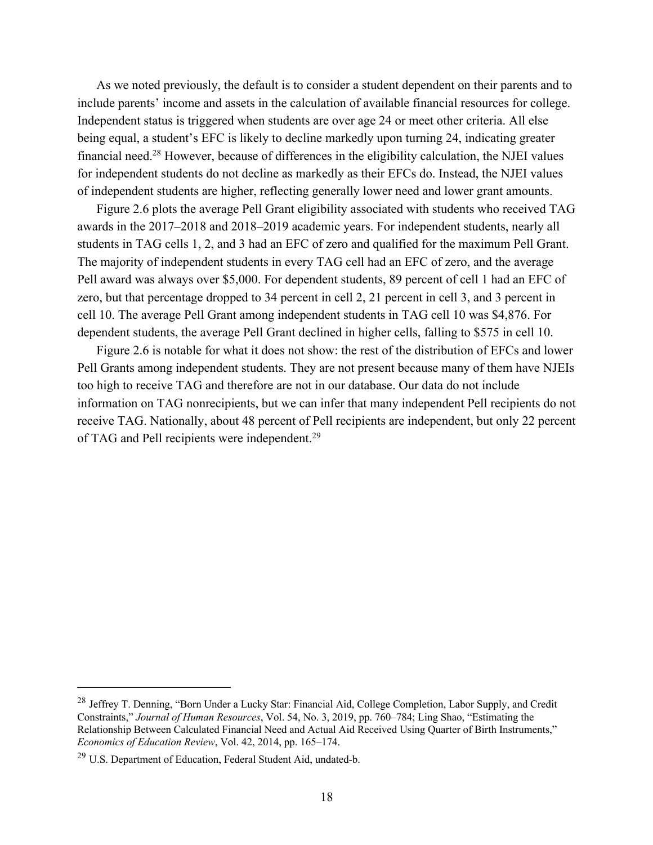As we noted previously, the default is to consider a student dependent on their parents and to include parents' income and assets in the calculation of available financial resources for college. Independent status is triggered when students are over age 24 or meet other criteria. All else being equal, a student's EFC is likely to decline markedly upon turning 24, indicating greater financial need.28 However, because of differences in the eligibility calculation, the NJEI values for independent students do not decline as markedly as their EFCs do. Instead, the NJEI values of independent students are higher, reflecting generally lower need and lower grant amounts.

Figure 2.6 plots the average Pell Grant eligibility associated with students who received TAG awards in the 2017–2018 and 2018–2019 academic years. For independent students, nearly all students in TAG cells 1, 2, and 3 had an EFC of zero and qualified for the maximum Pell Grant. The majority of independent students in every TAG cell had an EFC of zero, and the average Pell award was always over \$5,000. For dependent students, 89 percent of cell 1 had an EFC of zero, but that percentage dropped to 34 percent in cell 2, 21 percent in cell 3, and 3 percent in cell 10. The average Pell Grant among independent students in TAG cell 10 was \$4,876. For dependent students, the average Pell Grant declined in higher cells, falling to \$575 in cell 10.

Figure 2.6 is notable for what it does not show: the rest of the distribution of EFCs and lower Pell Grants among independent students. They are not present because many of them have NJEIs too high to receive TAG and therefore are not in our database. Our data do not include information on TAG nonrecipients, but we can infer that many independent Pell recipients do not receive TAG. Nationally, about 48 percent of Pell recipients are independent, but only 22 percent of TAG and Pell recipients were independent.<sup>29</sup>

<sup>&</sup>lt;sup>28</sup> Jeffrey T. Denning, "Born Under a Lucky Star: Financial Aid, College Completion, Labor Supply, and Credit Constraints," *Journal of Human Resources*, Vol. 54, No. 3, 2019, pp. 760–784; Ling Shao, "Estimating the Relationship Between Calculated Financial Need and Actual Aid Received Using Quarter of Birth Instruments," *Economics of Education Review*, Vol. 42, 2014, pp. 165–174.

<sup>29</sup> U.S. Department of Education, Federal Student Aid, undated-b.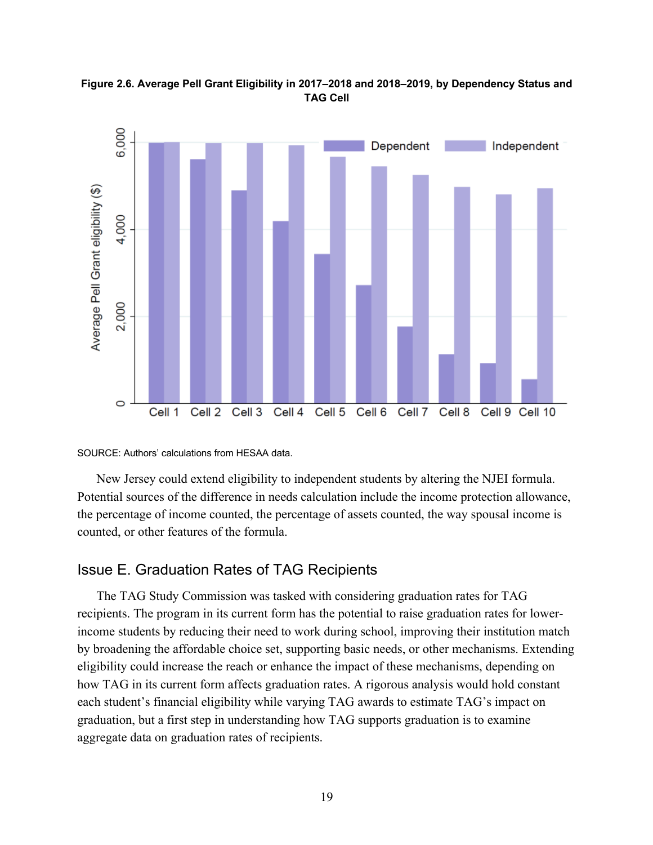

**Figure 2.6. Average Pell Grant Eligibility in 2017–2018 and 2018–2019, by Dependency Status and TAG Cell** 

SOURCE: Authors' calculations from HESAA data.

New Jersey could extend eligibility to independent students by altering the NJEI formula. Potential sources of the difference in needs calculation include the income protection allowance, the percentage of income counted, the percentage of assets counted, the way spousal income is counted, or other features of the formula.

## Issue E. Graduation Rates of TAG Recipients

The TAG Study Commission was tasked with considering graduation rates for TAG recipients. The program in its current form has the potential to raise graduation rates for lowerincome students by reducing their need to work during school, improving their institution match by broadening the affordable choice set, supporting basic needs, or other mechanisms. Extending eligibility could increase the reach or enhance the impact of these mechanisms, depending on how TAG in its current form affects graduation rates. A rigorous analysis would hold constant each student's financial eligibility while varying TAG awards to estimate TAG's impact on graduation, but a first step in understanding how TAG supports graduation is to examine aggregate data on graduation rates of recipients.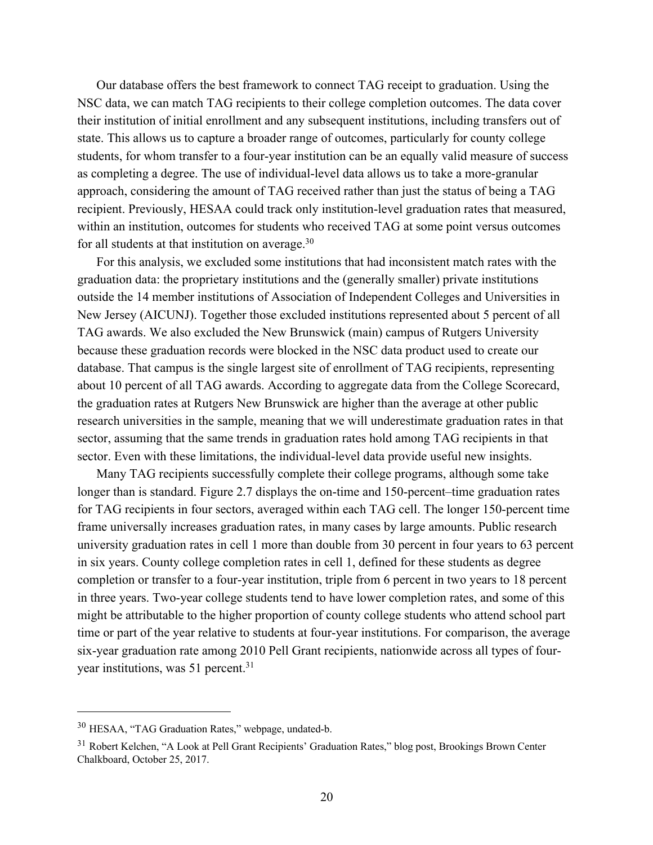Our database offers the best framework to connect TAG receipt to graduation. Using the NSC data, we can match TAG recipients to their college completion outcomes. The data cover their institution of initial enrollment and any subsequent institutions, including transfers out of state. This allows us to capture a broader range of outcomes, particularly for county college students, for whom transfer to a four-year institution can be an equally valid measure of success as completing a degree. The use of individual-level data allows us to take a more-granular approach, considering the amount of TAG received rather than just the status of being a TAG recipient. Previously, HESAA could track only institution-level graduation rates that measured, within an institution, outcomes for students who received TAG at some point versus outcomes for all students at that institution on average.30

For this analysis, we excluded some institutions that had inconsistent match rates with the graduation data: the proprietary institutions and the (generally smaller) private institutions outside the 14 member institutions of Association of Independent Colleges and Universities in New Jersey (AICUNJ). Together those excluded institutions represented about 5 percent of all TAG awards. We also excluded the New Brunswick (main) campus of Rutgers University because these graduation records were blocked in the NSC data product used to create our database. That campus is the single largest site of enrollment of TAG recipients, representing about 10 percent of all TAG awards. According to aggregate data from the College Scorecard, the graduation rates at Rutgers New Brunswick are higher than the average at other public research universities in the sample, meaning that we will underestimate graduation rates in that sector, assuming that the same trends in graduation rates hold among TAG recipients in that sector. Even with these limitations, the individual-level data provide useful new insights.

Many TAG recipients successfully complete their college programs, although some take longer than is standard. Figure 2.7 displays the on-time and 150-percent–time graduation rates for TAG recipients in four sectors, averaged within each TAG cell. The longer 150-percent time frame universally increases graduation rates, in many cases by large amounts. Public research university graduation rates in cell 1 more than double from 30 percent in four years to 63 percent in six years. County college completion rates in cell 1, defined for these students as degree completion or transfer to a four-year institution, triple from 6 percent in two years to 18 percent in three years. Two-year college students tend to have lower completion rates, and some of this might be attributable to the higher proportion of county college students who attend school part time or part of the year relative to students at four-year institutions. For comparison, the average six-year graduation rate among 2010 Pell Grant recipients, nationwide across all types of fouryear institutions, was 51 percent.<sup>31</sup>

<sup>30</sup> HESAA, "TAG Graduation Rates," webpage, undated-b.

<sup>&</sup>lt;sup>31</sup> Robert Kelchen, "A Look at Pell Grant Recipients' Graduation Rates," blog post, Brookings Brown Center Chalkboard, October 25, 2017.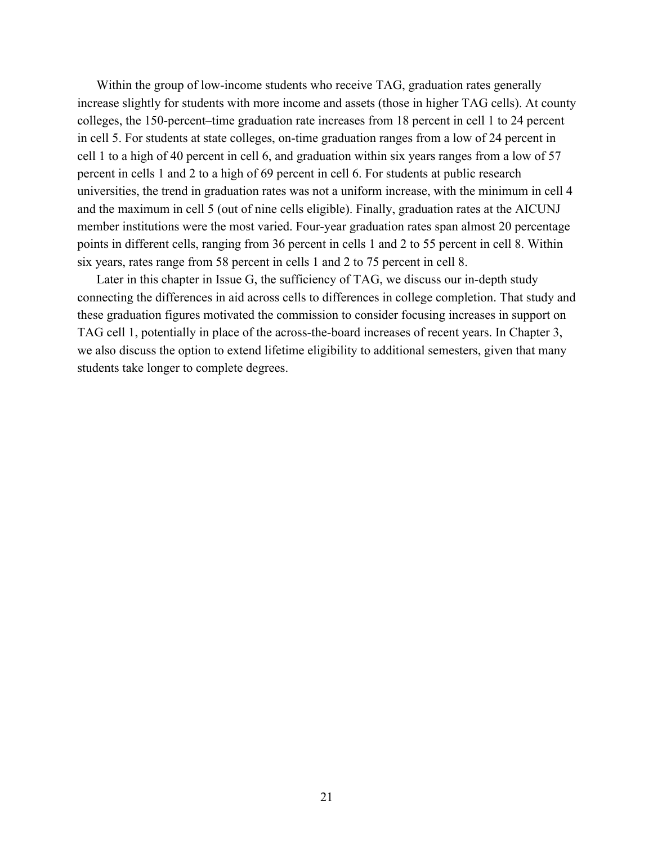Within the group of low-income students who receive TAG, graduation rates generally increase slightly for students with more income and assets (those in higher TAG cells). At county colleges, the 150-percent–time graduation rate increases from 18 percent in cell 1 to 24 percent in cell 5. For students at state colleges, on-time graduation ranges from a low of 24 percent in cell 1 to a high of 40 percent in cell 6, and graduation within six years ranges from a low of 57 percent in cells 1 and 2 to a high of 69 percent in cell 6. For students at public research universities, the trend in graduation rates was not a uniform increase, with the minimum in cell 4 and the maximum in cell 5 (out of nine cells eligible). Finally, graduation rates at the AICUNJ member institutions were the most varied. Four-year graduation rates span almost 20 percentage points in different cells, ranging from 36 percent in cells 1 and 2 to 55 percent in cell 8. Within six years, rates range from 58 percent in cells 1 and 2 to 75 percent in cell 8.

Later in this chapter in Issue G, the sufficiency of TAG, we discuss our in-depth study connecting the differences in aid across cells to differences in college completion. That study and these graduation figures motivated the commission to consider focusing increases in support on TAG cell 1, potentially in place of the across-the-board increases of recent years. In Chapter 3, we also discuss the option to extend lifetime eligibility to additional semesters, given that many students take longer to complete degrees.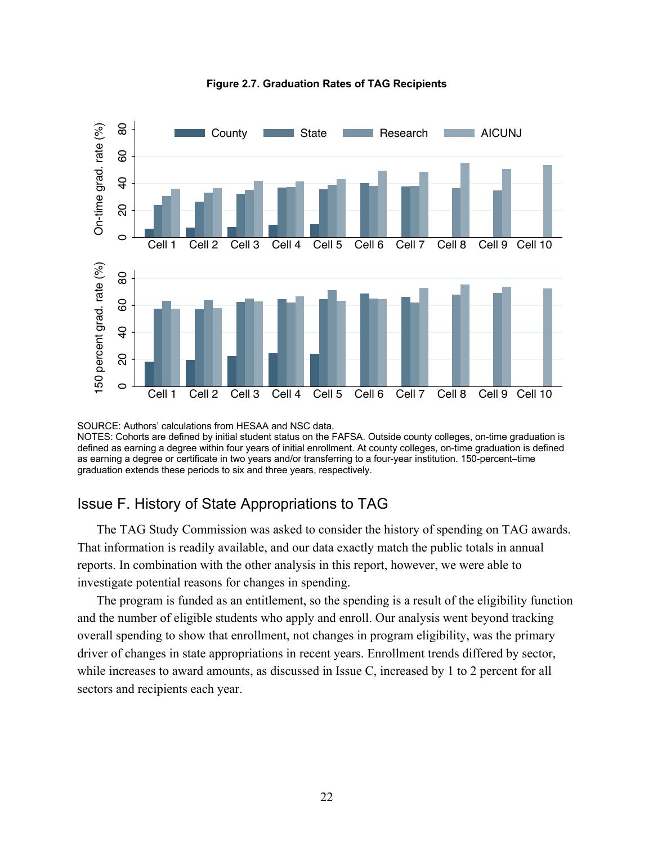

**Figure 2.7. Graduation Rates of TAG Recipients**

SOURCE: Authors' calculations from HESAA and NSC data. NOTES: Cohorts are defined by initial student status on the FAFSA. Outside county colleges, on-time graduation is defined as earning a degree within four years of initial enrollment. At county colleges, on-time graduation is defined as earning a degree or certificate in two years and/or transferring to a four-year institution. 150-percent–time graduation extends these periods to six and three years, respectively.

## Issue F. History of State Appropriations to TAG

The TAG Study Commission was asked to consider the history of spending on TAG awards. That information is readily available, and our data exactly match the public totals in annual reports. In combination with the other analysis in this report, however, we were able to investigate potential reasons for changes in spending.

The program is funded as an entitlement, so the spending is a result of the eligibility function and the number of eligible students who apply and enroll. Our analysis went beyond tracking overall spending to show that enrollment, not changes in program eligibility, was the primary driver of changes in state appropriations in recent years. Enrollment trends differed by sector, while increases to award amounts, as discussed in Issue C, increased by 1 to 2 percent for all sectors and recipients each year.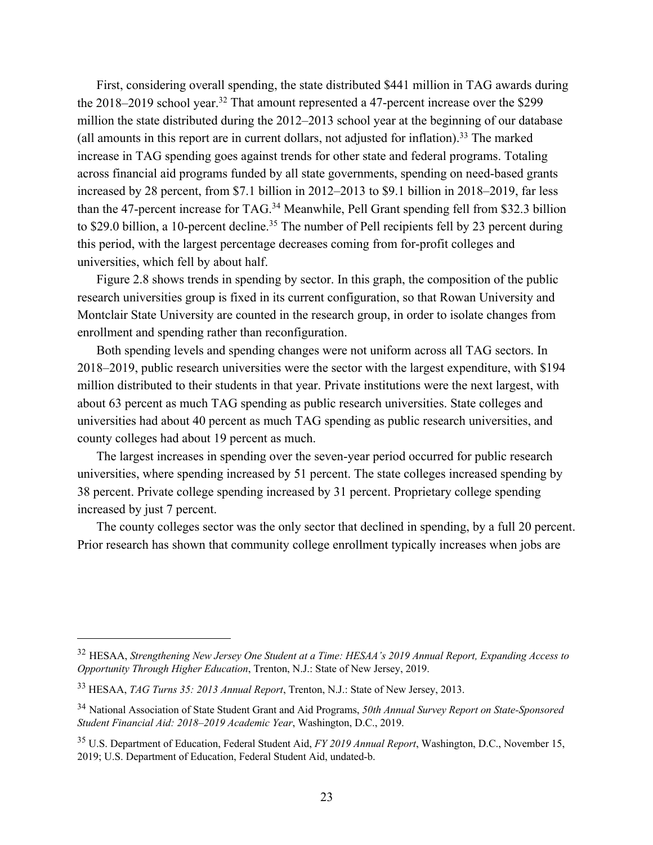First, considering overall spending, the state distributed \$441 million in TAG awards during the 2018–2019 school year.<sup>32</sup> That amount represented a 47-percent increase over the \$299 million the state distributed during the 2012–2013 school year at the beginning of our database (all amounts in this report are in current dollars, not adjusted for inflation).<sup>33</sup> The marked increase in TAG spending goes against trends for other state and federal programs. Totaling across financial aid programs funded by all state governments, spending on need-based grants increased by 28 percent, from \$7.1 billion in 2012–2013 to \$9.1 billion in 2018–2019, far less than the 47-percent increase for TAG.<sup>34</sup> Meanwhile, Pell Grant spending fell from \$32.3 billion to \$29.0 billion, a 10-percent decline.<sup>35</sup> The number of Pell recipients fell by 23 percent during this period, with the largest percentage decreases coming from for-profit colleges and universities, which fell by about half.

Figure 2.8 shows trends in spending by sector. In this graph, the composition of the public research universities group is fixed in its current configuration, so that Rowan University and Montclair State University are counted in the research group, in order to isolate changes from enrollment and spending rather than reconfiguration.

Both spending levels and spending changes were not uniform across all TAG sectors. In 2018–2019, public research universities were the sector with the largest expenditure, with \$194 million distributed to their students in that year. Private institutions were the next largest, with about 63 percent as much TAG spending as public research universities. State colleges and universities had about 40 percent as much TAG spending as public research universities, and county colleges had about 19 percent as much.

The largest increases in spending over the seven-year period occurred for public research universities, where spending increased by 51 percent. The state colleges increased spending by 38 percent. Private college spending increased by 31 percent. Proprietary college spending increased by just 7 percent.

The county colleges sector was the only sector that declined in spending, by a full 20 percent. Prior research has shown that community college enrollment typically increases when jobs are

<sup>32</sup> HESAA, *Strengthening New Jersey One Student at a Time: HESAA's 2019 Annual Report, Expanding Access to Opportunity Through Higher Education*, Trenton, N.J.: State of New Jersey, 2019.

<sup>33</sup> HESAA, *TAG Turns 35: 2013 Annual Report*, Trenton, N.J.: State of New Jersey, 2013.

<sup>34</sup> National Association of State Student Grant and Aid Programs, *50th Annual Survey Report on State-Sponsored Student Financial Aid: 2018–2019 Academic Year*, Washington, D.C., 2019.

<sup>35</sup> U.S. Department of Education, Federal Student Aid, *FY 2019 Annual Report*, Washington, D.C., November 15, 2019; U.S. Department of Education, Federal Student Aid, undated-b.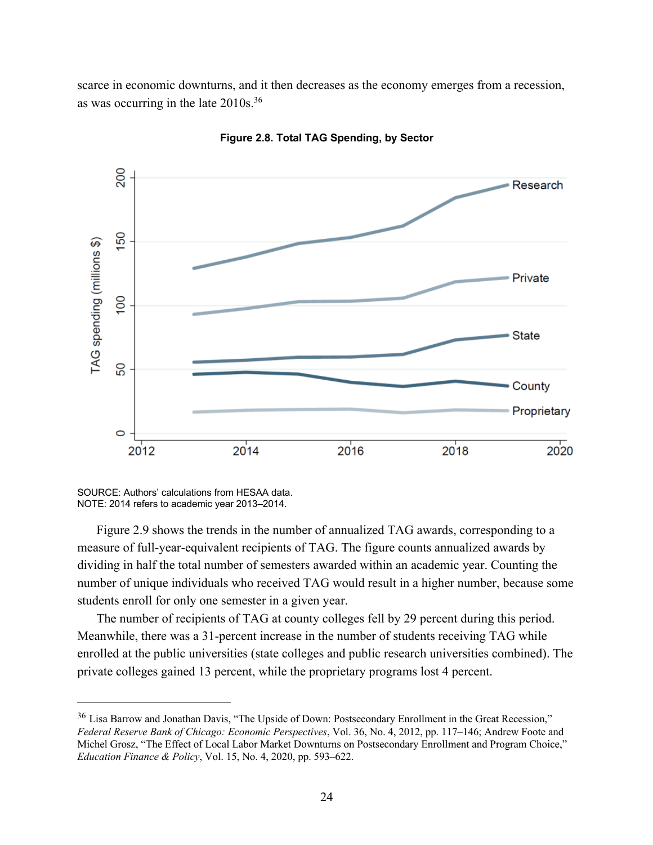scarce in economic downturns, and it then decreases as the economy emerges from a recession, as was occurring in the late 2010s.36



**Figure 2.8. Total TAG Spending, by Sector**

Figure 2.9 shows the trends in the number of annualized TAG awards, corresponding to a measure of full-year-equivalent recipients of TAG. The figure counts annualized awards by dividing in half the total number of semesters awarded within an academic year. Counting the number of unique individuals who received TAG would result in a higher number, because some students enroll for only one semester in a given year.

The number of recipients of TAG at county colleges fell by 29 percent during this period. Meanwhile, there was a 31-percent increase in the number of students receiving TAG while enrolled at the public universities (state colleges and public research universities combined). The private colleges gained 13 percent, while the proprietary programs lost 4 percent.

SOURCE: Authors' calculations from HESAA data. NOTE: 2014 refers to academic year 2013–2014.

<sup>&</sup>lt;sup>36</sup> Lisa Barrow and Jonathan Davis, "The Upside of Down: Postsecondary Enrollment in the Great Recession," *Federal Reserve Bank of Chicago: Economic Perspectives*, Vol. 36, No. 4, 2012, pp. 117–146; Andrew Foote and Michel Grosz, "The Effect of Local Labor Market Downturns on Postsecondary Enrollment and Program Choice," *Education Finance & Policy*, Vol. 15, No. 4, 2020, pp. 593–622.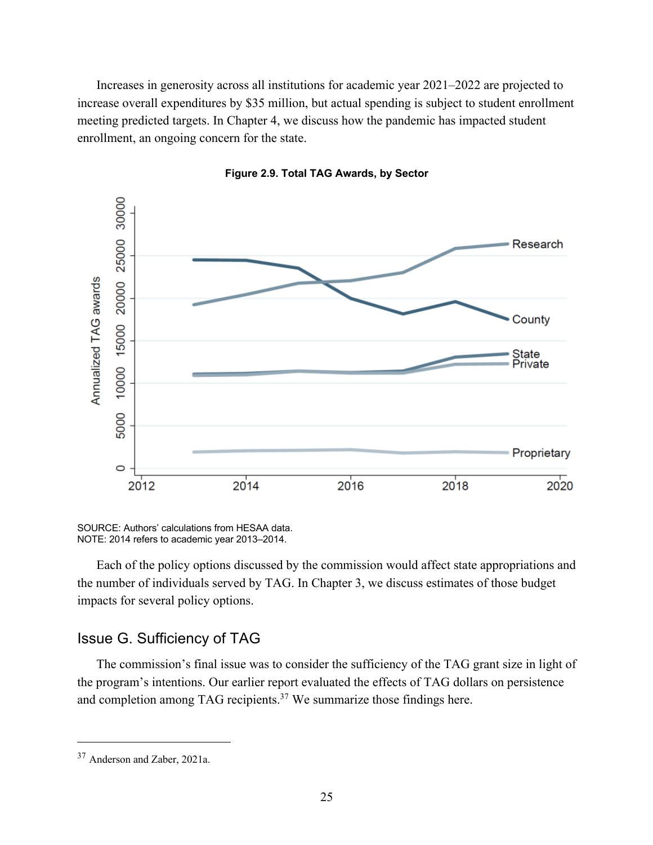Increases in generosity across all institutions for academic year 2021–2022 are projected to increase overall expenditures by \$35 million, but actual spending is subject to student enrollment meeting predicted targets. In Chapter 4, we discuss how the pandemic has impacted student enrollment, an ongoing concern for the state.



**Figure 2.9. Total TAG Awards, by Sector**

SOURCE: Authors' calculations from HESAA data. NOTE: 2014 refers to academic year 2013–2014.

Each of the policy options discussed by the commission would affect state appropriations and the number of individuals served by TAG. In Chapter 3, we discuss estimates of those budget impacts for several policy options.

## Issue G. Sufficiency of TAG

The commission's final issue was to consider the sufficiency of the TAG grant size in light of the program's intentions. Our earlier report evaluated the effects of TAG dollars on persistence and completion among TAG recipients.37 We summarize those findings here.

<sup>37</sup> Anderson and Zaber, 2021a.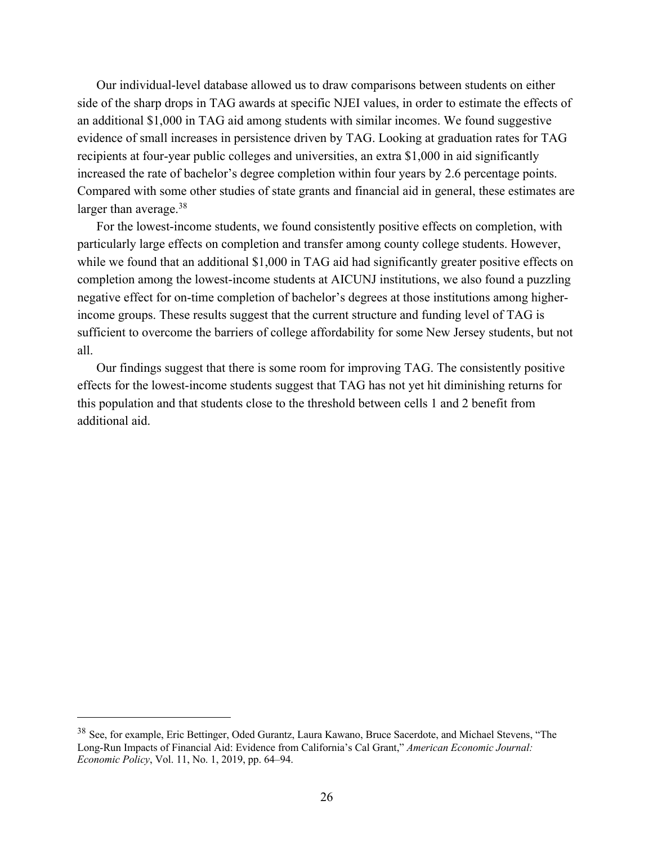Our individual-level database allowed us to draw comparisons between students on either side of the sharp drops in TAG awards at specific NJEI values, in order to estimate the effects of an additional \$1,000 in TAG aid among students with similar incomes. We found suggestive evidence of small increases in persistence driven by TAG. Looking at graduation rates for TAG recipients at four-year public colleges and universities, an extra \$1,000 in aid significantly increased the rate of bachelor's degree completion within four years by 2.6 percentage points. Compared with some other studies of state grants and financial aid in general, these estimates are larger than average.<sup>38</sup>

For the lowest-income students, we found consistently positive effects on completion, with particularly large effects on completion and transfer among county college students. However, while we found that an additional \$1,000 in TAG aid had significantly greater positive effects on completion among the lowest-income students at AICUNJ institutions, we also found a puzzling negative effect for on-time completion of bachelor's degrees at those institutions among higherincome groups. These results suggest that the current structure and funding level of TAG is sufficient to overcome the barriers of college affordability for some New Jersey students, but not all.

Our findings suggest that there is some room for improving TAG. The consistently positive effects for the lowest-income students suggest that TAG has not yet hit diminishing returns for this population and that students close to the threshold between cells 1 and 2 benefit from additional aid.

<sup>38</sup> See, for example, Eric Bettinger, Oded Gurantz, Laura Kawano, Bruce Sacerdote, and Michael Stevens, "The Long-Run Impacts of Financial Aid: Evidence from California's Cal Grant," *American Economic Journal: Economic Policy*, Vol. 11, No. 1, 2019, pp. 64–94.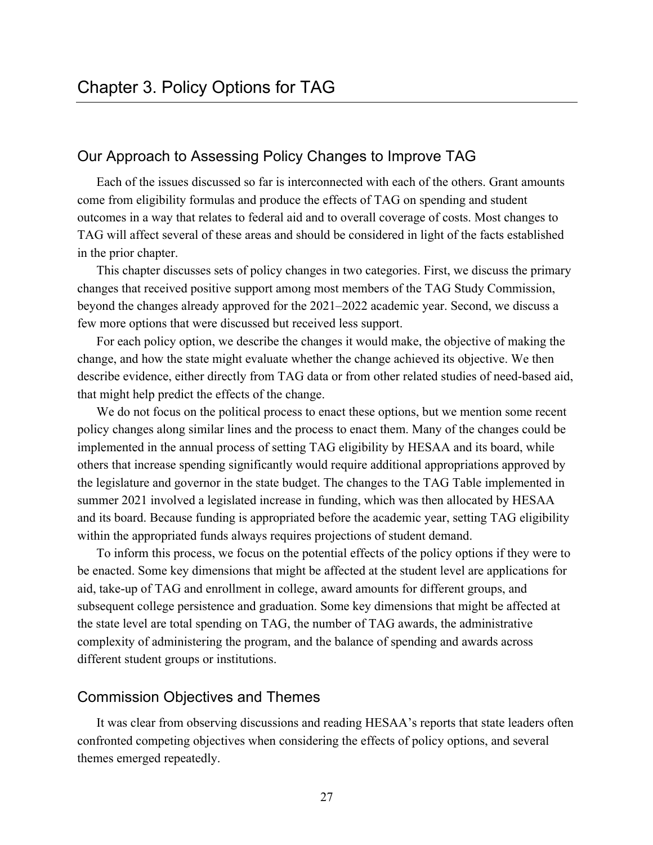## Our Approach to Assessing Policy Changes to Improve TAG

Each of the issues discussed so far is interconnected with each of the others. Grant amounts come from eligibility formulas and produce the effects of TAG on spending and student outcomes in a way that relates to federal aid and to overall coverage of costs. Most changes to TAG will affect several of these areas and should be considered in light of the facts established in the prior chapter.

This chapter discusses sets of policy changes in two categories. First, we discuss the primary changes that received positive support among most members of the TAG Study Commission, beyond the changes already approved for the 2021–2022 academic year. Second, we discuss a few more options that were discussed but received less support.

For each policy option, we describe the changes it would make, the objective of making the change, and how the state might evaluate whether the change achieved its objective. We then describe evidence, either directly from TAG data or from other related studies of need-based aid, that might help predict the effects of the change.

We do not focus on the political process to enact these options, but we mention some recent policy changes along similar lines and the process to enact them. Many of the changes could be implemented in the annual process of setting TAG eligibility by HESAA and its board, while others that increase spending significantly would require additional appropriations approved by the legislature and governor in the state budget. The changes to the TAG Table implemented in summer 2021 involved a legislated increase in funding, which was then allocated by HESAA and its board. Because funding is appropriated before the academic year, setting TAG eligibility within the appropriated funds always requires projections of student demand.

To inform this process, we focus on the potential effects of the policy options if they were to be enacted. Some key dimensions that might be affected at the student level are applications for aid, take-up of TAG and enrollment in college, award amounts for different groups, and subsequent college persistence and graduation. Some key dimensions that might be affected at the state level are total spending on TAG, the number of TAG awards, the administrative complexity of administering the program, and the balance of spending and awards across different student groups or institutions.

#### Commission Objectives and Themes

It was clear from observing discussions and reading HESAA's reports that state leaders often confronted competing objectives when considering the effects of policy options, and several themes emerged repeatedly.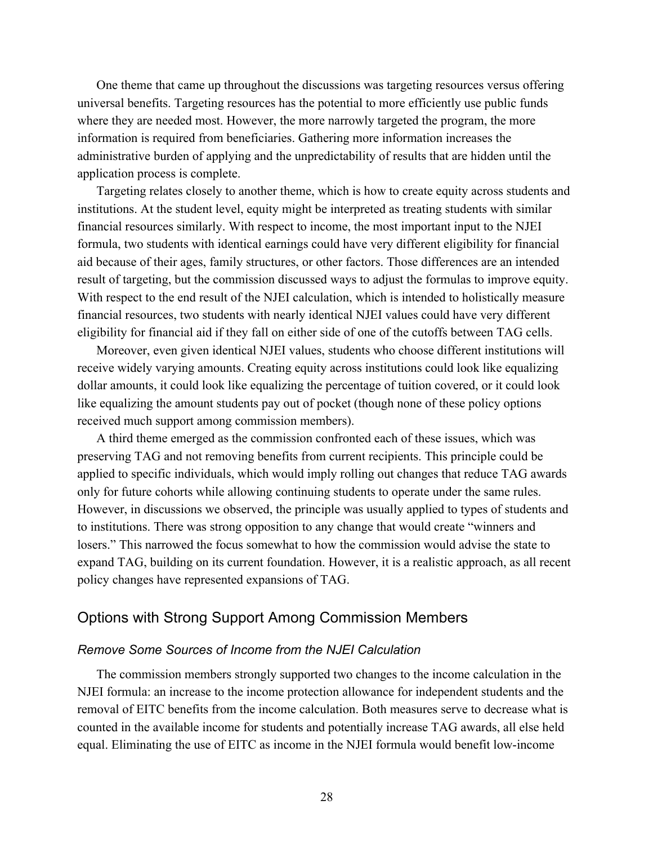One theme that came up throughout the discussions was targeting resources versus offering universal benefits. Targeting resources has the potential to more efficiently use public funds where they are needed most. However, the more narrowly targeted the program, the more information is required from beneficiaries. Gathering more information increases the administrative burden of applying and the unpredictability of results that are hidden until the application process is complete.

Targeting relates closely to another theme, which is how to create equity across students and institutions. At the student level, equity might be interpreted as treating students with similar financial resources similarly. With respect to income, the most important input to the NJEI formula, two students with identical earnings could have very different eligibility for financial aid because of their ages, family structures, or other factors. Those differences are an intended result of targeting, but the commission discussed ways to adjust the formulas to improve equity. With respect to the end result of the NJEI calculation, which is intended to holistically measure financial resources, two students with nearly identical NJEI values could have very different eligibility for financial aid if they fall on either side of one of the cutoffs between TAG cells.

Moreover, even given identical NJEI values, students who choose different institutions will receive widely varying amounts. Creating equity across institutions could look like equalizing dollar amounts, it could look like equalizing the percentage of tuition covered, or it could look like equalizing the amount students pay out of pocket (though none of these policy options received much support among commission members).

A third theme emerged as the commission confronted each of these issues, which was preserving TAG and not removing benefits from current recipients. This principle could be applied to specific individuals, which would imply rolling out changes that reduce TAG awards only for future cohorts while allowing continuing students to operate under the same rules. However, in discussions we observed, the principle was usually applied to types of students and to institutions. There was strong opposition to any change that would create "winners and losers." This narrowed the focus somewhat to how the commission would advise the state to expand TAG, building on its current foundation. However, it is a realistic approach, as all recent policy changes have represented expansions of TAG.

## Options with Strong Support Among Commission Members

#### *Remove Some Sources of Income from the NJEI Calculation*

The commission members strongly supported two changes to the income calculation in the NJEI formula: an increase to the income protection allowance for independent students and the removal of EITC benefits from the income calculation. Both measures serve to decrease what is counted in the available income for students and potentially increase TAG awards, all else held equal. Eliminating the use of EITC as income in the NJEI formula would benefit low-income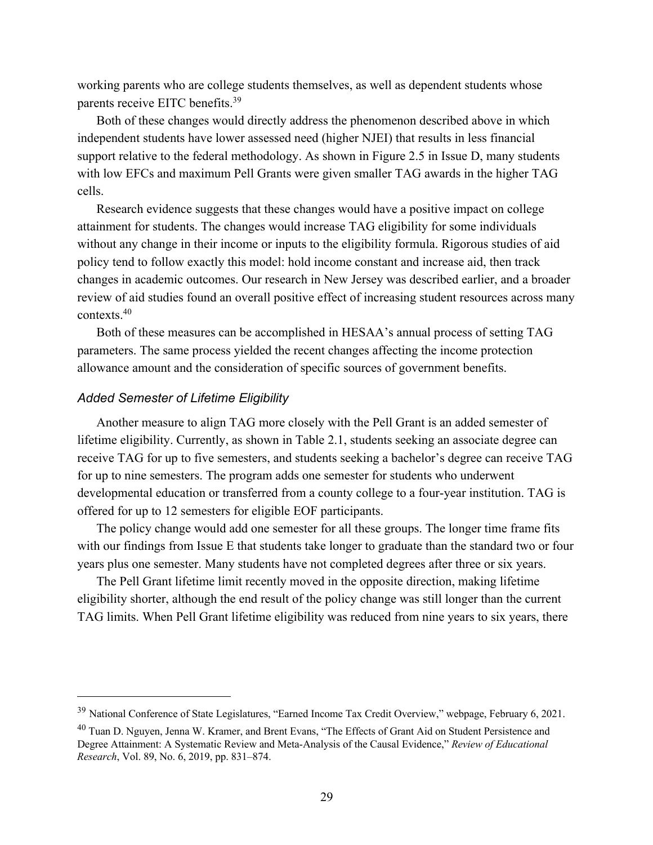working parents who are college students themselves, as well as dependent students whose parents receive EITC benefits.39

Both of these changes would directly address the phenomenon described above in which independent students have lower assessed need (higher NJEI) that results in less financial support relative to the federal methodology. As shown in Figure 2.5 in Issue D, many students with low EFCs and maximum Pell Grants were given smaller TAG awards in the higher TAG cells.

Research evidence suggests that these changes would have a positive impact on college attainment for students. The changes would increase TAG eligibility for some individuals without any change in their income or inputs to the eligibility formula. Rigorous studies of aid policy tend to follow exactly this model: hold income constant and increase aid, then track changes in academic outcomes. Our research in New Jersey was described earlier, and a broader review of aid studies found an overall positive effect of increasing student resources across many contexts.40

Both of these measures can be accomplished in HESAA's annual process of setting TAG parameters. The same process yielded the recent changes affecting the income protection allowance amount and the consideration of specific sources of government benefits.

#### *Added Semester of Lifetime Eligibility*

Another measure to align TAG more closely with the Pell Grant is an added semester of lifetime eligibility. Currently, as shown in Table 2.1, students seeking an associate degree can receive TAG for up to five semesters, and students seeking a bachelor's degree can receive TAG for up to nine semesters. The program adds one semester for students who underwent developmental education or transferred from a county college to a four-year institution. TAG is offered for up to 12 semesters for eligible EOF participants.

The policy change would add one semester for all these groups. The longer time frame fits with our findings from Issue E that students take longer to graduate than the standard two or four years plus one semester. Many students have not completed degrees after three or six years.

The Pell Grant lifetime limit recently moved in the opposite direction, making lifetime eligibility shorter, although the end result of the policy change was still longer than the current TAG limits. When Pell Grant lifetime eligibility was reduced from nine years to six years, there

<sup>&</sup>lt;sup>39</sup> National Conference of State Legislatures, "Earned Income Tax Credit Overview," webpage, February 6, 2021.

<sup>&</sup>lt;sup>40</sup> Tuan D. Nguyen, Jenna W. Kramer, and Brent Evans, "The Effects of Grant Aid on Student Persistence and Degree Attainment: A Systematic Review and Meta-Analysis of the Causal Evidence," *Review of Educational Research*, Vol. 89, No. 6, 2019, pp. 831–874.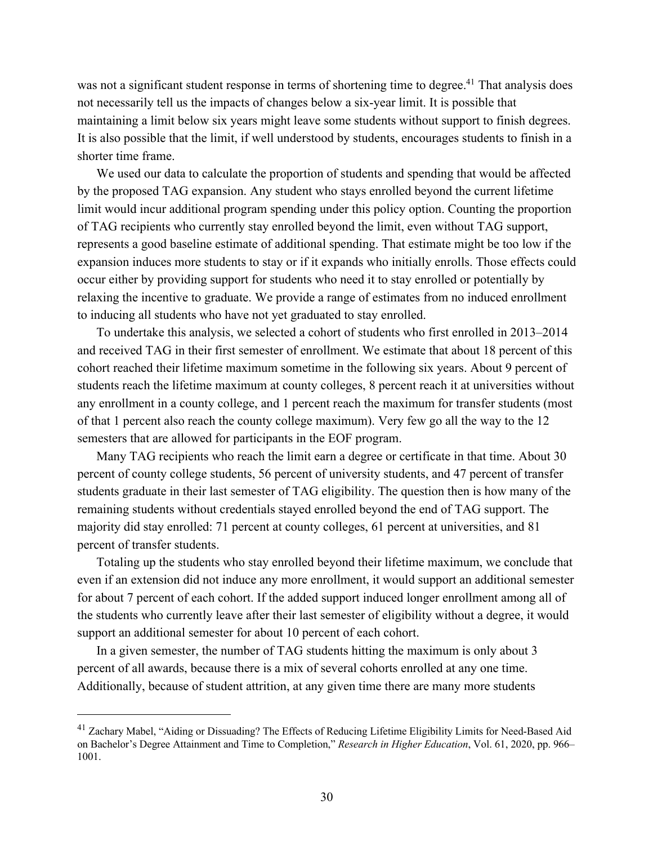was not a significant student response in terms of shortening time to degree.<sup>41</sup> That analysis does not necessarily tell us the impacts of changes below a six-year limit. It is possible that maintaining a limit below six years might leave some students without support to finish degrees. It is also possible that the limit, if well understood by students, encourages students to finish in a shorter time frame.

We used our data to calculate the proportion of students and spending that would be affected by the proposed TAG expansion. Any student who stays enrolled beyond the current lifetime limit would incur additional program spending under this policy option. Counting the proportion of TAG recipients who currently stay enrolled beyond the limit, even without TAG support, represents a good baseline estimate of additional spending. That estimate might be too low if the expansion induces more students to stay or if it expands who initially enrolls. Those effects could occur either by providing support for students who need it to stay enrolled or potentially by relaxing the incentive to graduate. We provide a range of estimates from no induced enrollment to inducing all students who have not yet graduated to stay enrolled.

To undertake this analysis, we selected a cohort of students who first enrolled in 2013–2014 and received TAG in their first semester of enrollment. We estimate that about 18 percent of this cohort reached their lifetime maximum sometime in the following six years. About 9 percent of students reach the lifetime maximum at county colleges, 8 percent reach it at universities without any enrollment in a county college, and 1 percent reach the maximum for transfer students (most of that 1 percent also reach the county college maximum). Very few go all the way to the 12 semesters that are allowed for participants in the EOF program.

Many TAG recipients who reach the limit earn a degree or certificate in that time. About 30 percent of county college students, 56 percent of university students, and 47 percent of transfer students graduate in their last semester of TAG eligibility. The question then is how many of the remaining students without credentials stayed enrolled beyond the end of TAG support. The majority did stay enrolled: 71 percent at county colleges, 61 percent at universities, and 81 percent of transfer students.

Totaling up the students who stay enrolled beyond their lifetime maximum, we conclude that even if an extension did not induce any more enrollment, it would support an additional semester for about 7 percent of each cohort. If the added support induced longer enrollment among all of the students who currently leave after their last semester of eligibility without a degree, it would support an additional semester for about 10 percent of each cohort.

In a given semester, the number of TAG students hitting the maximum is only about 3 percent of all awards, because there is a mix of several cohorts enrolled at any one time. Additionally, because of student attrition, at any given time there are many more students

<sup>&</sup>lt;sup>41</sup> Zachary Mabel, "Aiding or Dissuading? The Effects of Reducing Lifetime Eligibility Limits for Need-Based Aid on Bachelor's Degree Attainment and Time to Completion," *Research in Higher Education*, Vol. 61, 2020, pp. 966– 1001.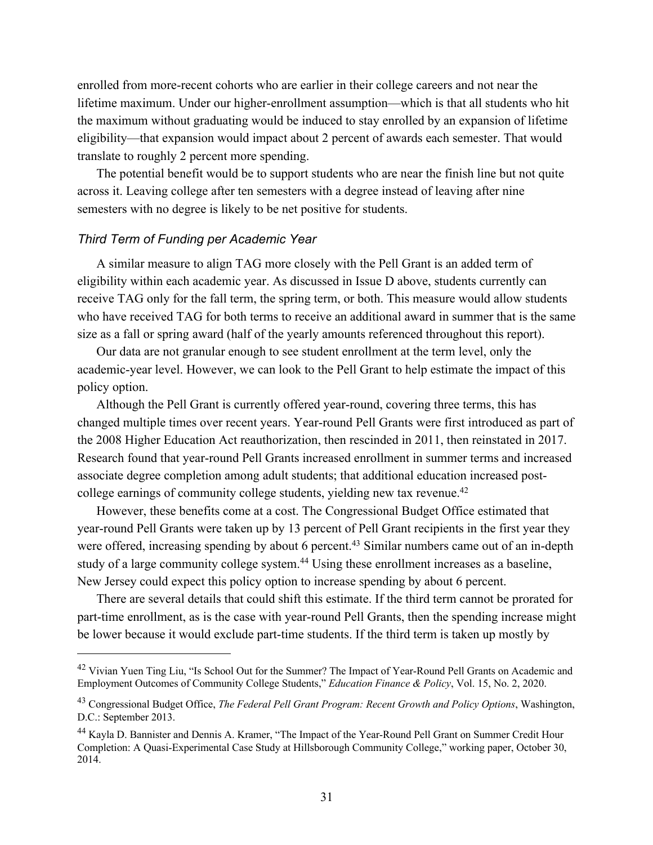enrolled from more-recent cohorts who are earlier in their college careers and not near the lifetime maximum. Under our higher-enrollment assumption—which is that all students who hit the maximum without graduating would be induced to stay enrolled by an expansion of lifetime eligibility—that expansion would impact about 2 percent of awards each semester. That would translate to roughly 2 percent more spending.

The potential benefit would be to support students who are near the finish line but not quite across it. Leaving college after ten semesters with a degree instead of leaving after nine semesters with no degree is likely to be net positive for students.

#### *Third Term of Funding per Academic Year*

A similar measure to align TAG more closely with the Pell Grant is an added term of eligibility within each academic year. As discussed in Issue D above, students currently can receive TAG only for the fall term, the spring term, or both. This measure would allow students who have received TAG for both terms to receive an additional award in summer that is the same size as a fall or spring award (half of the yearly amounts referenced throughout this report).

Our data are not granular enough to see student enrollment at the term level, only the academic-year level. However, we can look to the Pell Grant to help estimate the impact of this policy option.

Although the Pell Grant is currently offered year-round, covering three terms, this has changed multiple times over recent years. Year-round Pell Grants were first introduced as part of the 2008 Higher Education Act reauthorization, then rescinded in 2011, then reinstated in 2017. Research found that year-round Pell Grants increased enrollment in summer terms and increased associate degree completion among adult students; that additional education increased postcollege earnings of community college students, yielding new tax revenue.<sup>42</sup>

However, these benefits come at a cost. The Congressional Budget Office estimated that year-round Pell Grants were taken up by 13 percent of Pell Grant recipients in the first year they were offered, increasing spending by about 6 percent.<sup>43</sup> Similar numbers came out of an in-depth study of a large community college system.<sup>44</sup> Using these enrollment increases as a baseline, New Jersey could expect this policy option to increase spending by about 6 percent.

There are several details that could shift this estimate. If the third term cannot be prorated for part-time enrollment, as is the case with year-round Pell Grants, then the spending increase might be lower because it would exclude part-time students. If the third term is taken up mostly by

<sup>&</sup>lt;sup>42</sup> Vivian Yuen Ting Liu, "Is School Out for the Summer? The Impact of Year-Round Pell Grants on Academic and Employment Outcomes of Community College Students," *Education Finance & Policy*, Vol. 15, No. 2, 2020.

<sup>43</sup> Congressional Budget Office, *The Federal Pell Grant Program: Recent Growth and Policy Options*, Washington, D.C.: September 2013.

<sup>44</sup> Kayla D. Bannister and Dennis A. Kramer, "The Impact of the Year-Round Pell Grant on Summer Credit Hour Completion: A Quasi-Experimental Case Study at Hillsborough Community College," working paper, October 30, 2014.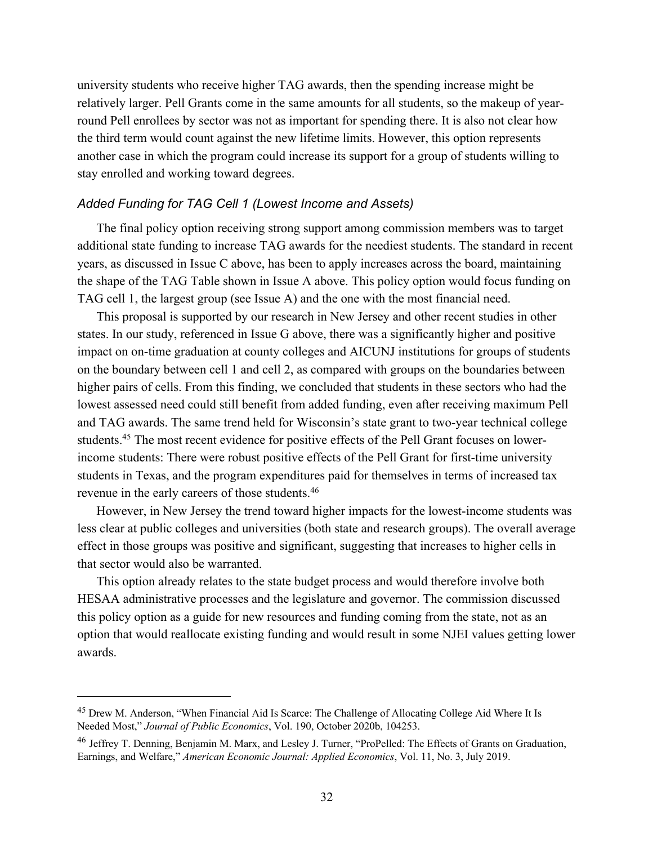university students who receive higher TAG awards, then the spending increase might be relatively larger. Pell Grants come in the same amounts for all students, so the makeup of yearround Pell enrollees by sector was not as important for spending there. It is also not clear how the third term would count against the new lifetime limits. However, this option represents another case in which the program could increase its support for a group of students willing to stay enrolled and working toward degrees.

#### *Added Funding for TAG Cell 1 (Lowest Income and Assets)*

The final policy option receiving strong support among commission members was to target additional state funding to increase TAG awards for the neediest students. The standard in recent years, as discussed in Issue C above, has been to apply increases across the board, maintaining the shape of the TAG Table shown in Issue A above. This policy option would focus funding on TAG cell 1, the largest group (see Issue A) and the one with the most financial need.

This proposal is supported by our research in New Jersey and other recent studies in other states. In our study, referenced in Issue G above, there was a significantly higher and positive impact on on-time graduation at county colleges and AICUNJ institutions for groups of students on the boundary between cell 1 and cell 2, as compared with groups on the boundaries between higher pairs of cells. From this finding, we concluded that students in these sectors who had the lowest assessed need could still benefit from added funding, even after receiving maximum Pell and TAG awards. The same trend held for Wisconsin's state grant to two-year technical college students.45 The most recent evidence for positive effects of the Pell Grant focuses on lowerincome students: There were robust positive effects of the Pell Grant for first-time university students in Texas, and the program expenditures paid for themselves in terms of increased tax revenue in the early careers of those students.46

However, in New Jersey the trend toward higher impacts for the lowest-income students was less clear at public colleges and universities (both state and research groups). The overall average effect in those groups was positive and significant, suggesting that increases to higher cells in that sector would also be warranted.

This option already relates to the state budget process and would therefore involve both HESAA administrative processes and the legislature and governor. The commission discussed this policy option as a guide for new resources and funding coming from the state, not as an option that would reallocate existing funding and would result in some NJEI values getting lower awards.

<sup>&</sup>lt;sup>45</sup> Drew M. Anderson, "When Financial Aid Is Scarce: The Challenge of Allocating College Aid Where It Is Needed Most," *Journal of Public Economics*, Vol. 190, October 2020b, 104253.

<sup>46</sup> Jeffrey T. Denning, Benjamin M. Marx, and Lesley J. Turner, "ProPelled: The Effects of Grants on Graduation, Earnings, and Welfare," *American Economic Journal: Applied Economics*, Vol. 11, No. 3, July 2019.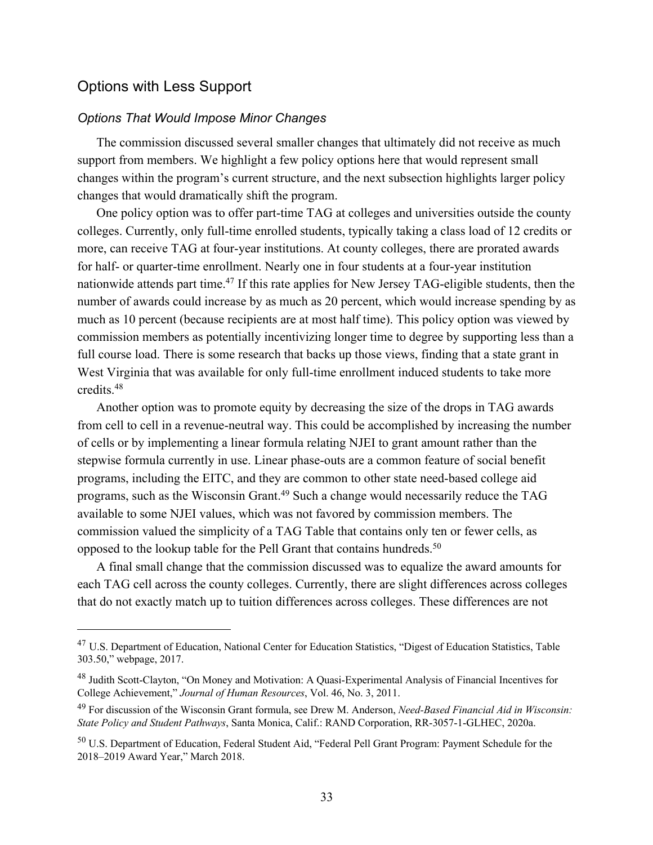## Options with Less Support

#### *Options That Would Impose Minor Changes*

The commission discussed several smaller changes that ultimately did not receive as much support from members. We highlight a few policy options here that would represent small changes within the program's current structure, and the next subsection highlights larger policy changes that would dramatically shift the program.

One policy option was to offer part-time TAG at colleges and universities outside the county colleges. Currently, only full-time enrolled students, typically taking a class load of 12 credits or more, can receive TAG at four-year institutions. At county colleges, there are prorated awards for half- or quarter-time enrollment. Nearly one in four students at a four-year institution nationwide attends part time.<sup>47</sup> If this rate applies for New Jersey TAG-eligible students, then the number of awards could increase by as much as 20 percent, which would increase spending by as much as 10 percent (because recipients are at most half time). This policy option was viewed by commission members as potentially incentivizing longer time to degree by supporting less than a full course load. There is some research that backs up those views, finding that a state grant in West Virginia that was available for only full-time enrollment induced students to take more credits.48

Another option was to promote equity by decreasing the size of the drops in TAG awards from cell to cell in a revenue-neutral way. This could be accomplished by increasing the number of cells or by implementing a linear formula relating NJEI to grant amount rather than the stepwise formula currently in use. Linear phase-outs are a common feature of social benefit programs, including the EITC, and they are common to other state need-based college aid programs, such as the Wisconsin Grant.<sup>49</sup> Such a change would necessarily reduce the TAG available to some NJEI values, which was not favored by commission members. The commission valued the simplicity of a TAG Table that contains only ten or fewer cells, as opposed to the lookup table for the Pell Grant that contains hundreds.<sup>50</sup>

A final small change that the commission discussed was to equalize the award amounts for each TAG cell across the county colleges. Currently, there are slight differences across colleges that do not exactly match up to tuition differences across colleges. These differences are not

<sup>&</sup>lt;sup>47</sup> U.S. Department of Education, National Center for Education Statistics, "Digest of Education Statistics, Table 303.50," webpage, 2017.

<sup>48</sup> Judith Scott-Clayton, "On Money and Motivation: A Quasi-Experimental Analysis of Financial Incentives for College Achievement," *Journal of Human Resources*, Vol. 46, No. 3, 2011.

<sup>49</sup> For discussion of the Wisconsin Grant formula, see Drew M. Anderson, *Need-Based Financial Aid in Wisconsin: State Policy and Student Pathways*, Santa Monica, Calif.: RAND Corporation, RR-3057-1-GLHEC, 2020a.

<sup>50</sup> U.S. Department of Education, Federal Student Aid, "Federal Pell Grant Program: Payment Schedule for the 2018–2019 Award Year," March 2018.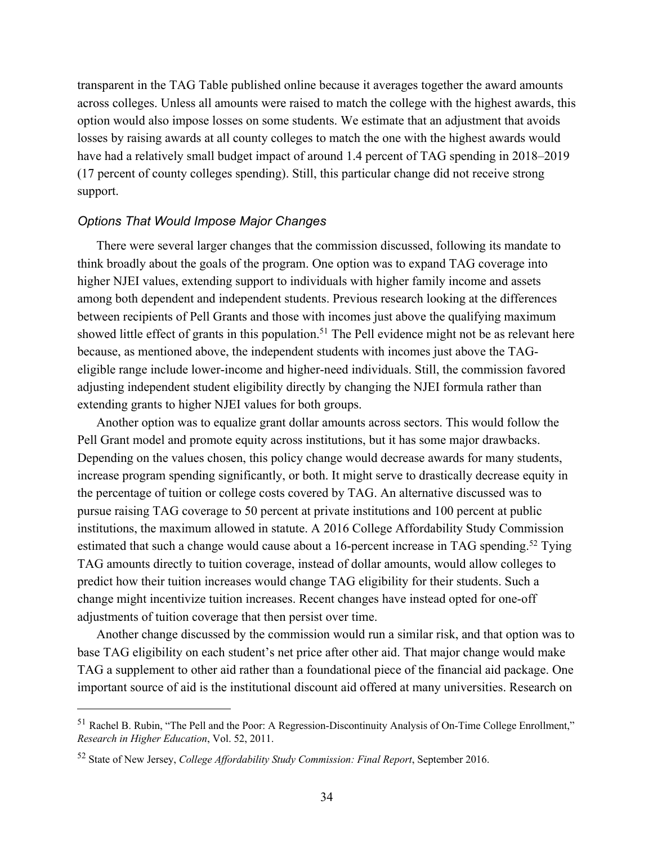transparent in the TAG Table published online because it averages together the award amounts across colleges. Unless all amounts were raised to match the college with the highest awards, this option would also impose losses on some students. We estimate that an adjustment that avoids losses by raising awards at all county colleges to match the one with the highest awards would have had a relatively small budget impact of around 1.4 percent of TAG spending in 2018–2019 (17 percent of county colleges spending). Still, this particular change did not receive strong support.

#### *Options That Would Impose Major Changes*

There were several larger changes that the commission discussed, following its mandate to think broadly about the goals of the program. One option was to expand TAG coverage into higher NJEI values, extending support to individuals with higher family income and assets among both dependent and independent students. Previous research looking at the differences between recipients of Pell Grants and those with incomes just above the qualifying maximum showed little effect of grants in this population.<sup>51</sup> The Pell evidence might not be as relevant here because, as mentioned above, the independent students with incomes just above the TAGeligible range include lower-income and higher-need individuals. Still, the commission favored adjusting independent student eligibility directly by changing the NJEI formula rather than extending grants to higher NJEI values for both groups.

Another option was to equalize grant dollar amounts across sectors. This would follow the Pell Grant model and promote equity across institutions, but it has some major drawbacks. Depending on the values chosen, this policy change would decrease awards for many students, increase program spending significantly, or both. It might serve to drastically decrease equity in the percentage of tuition or college costs covered by TAG. An alternative discussed was to pursue raising TAG coverage to 50 percent at private institutions and 100 percent at public institutions, the maximum allowed in statute. A 2016 College Affordability Study Commission estimated that such a change would cause about a 16-percent increase in TAG spending.<sup>52</sup> Tying TAG amounts directly to tuition coverage, instead of dollar amounts, would allow colleges to predict how their tuition increases would change TAG eligibility for their students. Such a change might incentivize tuition increases. Recent changes have instead opted for one-off adjustments of tuition coverage that then persist over time.

Another change discussed by the commission would run a similar risk, and that option was to base TAG eligibility on each student's net price after other aid. That major change would make TAG a supplement to other aid rather than a foundational piece of the financial aid package. One important source of aid is the institutional discount aid offered at many universities. Research on

<sup>51</sup> Rachel B. Rubin, "The Pell and the Poor: A Regression-Discontinuity Analysis of On-Time College Enrollment," *Research in Higher Education*, Vol. 52, 2011.

<sup>52</sup> State of New Jersey, *College Affordability Study Commission: Final Report*, September 2016.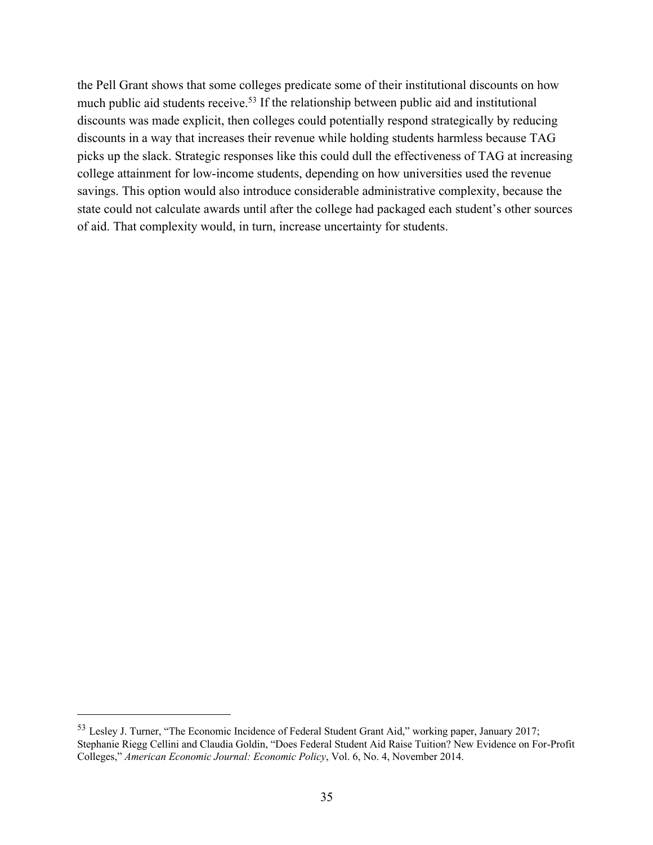the Pell Grant shows that some colleges predicate some of their institutional discounts on how much public aid students receive.<sup>53</sup> If the relationship between public aid and institutional discounts was made explicit, then colleges could potentially respond strategically by reducing discounts in a way that increases their revenue while holding students harmless because TAG picks up the slack. Strategic responses like this could dull the effectiveness of TAG at increasing college attainment for low-income students, depending on how universities used the revenue savings. This option would also introduce considerable administrative complexity, because the state could not calculate awards until after the college had packaged each student's other sources of aid. That complexity would, in turn, increase uncertainty for students.

<sup>53</sup> Lesley J. Turner, "The Economic Incidence of Federal Student Grant Aid," working paper, January 2017; Stephanie Riegg Cellini and Claudia Goldin, "Does Federal Student Aid Raise Tuition? New Evidence on For-Profit Colleges," *American Economic Journal: Economic Policy*, Vol. 6, No. 4, November 2014.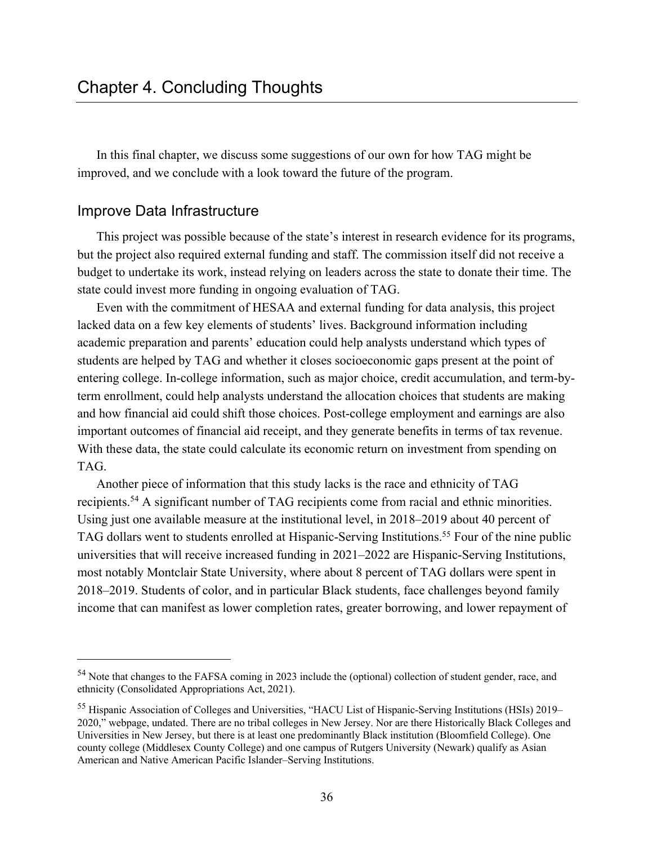In this final chapter, we discuss some suggestions of our own for how TAG might be improved, and we conclude with a look toward the future of the program.

## Improve Data Infrastructure

This project was possible because of the state's interest in research evidence for its programs, but the project also required external funding and staff. The commission itself did not receive a budget to undertake its work, instead relying on leaders across the state to donate their time. The state could invest more funding in ongoing evaluation of TAG.

Even with the commitment of HESAA and external funding for data analysis, this project lacked data on a few key elements of students' lives. Background information including academic preparation and parents' education could help analysts understand which types of students are helped by TAG and whether it closes socioeconomic gaps present at the point of entering college. In-college information, such as major choice, credit accumulation, and term-byterm enrollment, could help analysts understand the allocation choices that students are making and how financial aid could shift those choices. Post-college employment and earnings are also important outcomes of financial aid receipt, and they generate benefits in terms of tax revenue. With these data, the state could calculate its economic return on investment from spending on TAG.

Another piece of information that this study lacks is the race and ethnicity of TAG recipients.54 A significant number of TAG recipients come from racial and ethnic minorities. Using just one available measure at the institutional level, in 2018–2019 about 40 percent of TAG dollars went to students enrolled at Hispanic-Serving Institutions.<sup>55</sup> Four of the nine public universities that will receive increased funding in 2021–2022 are Hispanic-Serving Institutions, most notably Montclair State University, where about 8 percent of TAG dollars were spent in 2018–2019. Students of color, and in particular Black students, face challenges beyond family income that can manifest as lower completion rates, greater borrowing, and lower repayment of

<sup>54</sup> Note that changes to the FAFSA coming in 2023 include the (optional) collection of student gender, race, and ethnicity (Consolidated Appropriations Act, 2021).

<sup>55</sup> Hispanic Association of Colleges and Universities, "HACU List of Hispanic-Serving Institutions (HSIs) 2019– 2020," webpage, undated. There are no tribal colleges in New Jersey. Nor are there Historically Black Colleges and Universities in New Jersey, but there is at least one predominantly Black institution (Bloomfield College). One county college (Middlesex County College) and one campus of Rutgers University (Newark) qualify as Asian American and Native American Pacific Islander–Serving Institutions.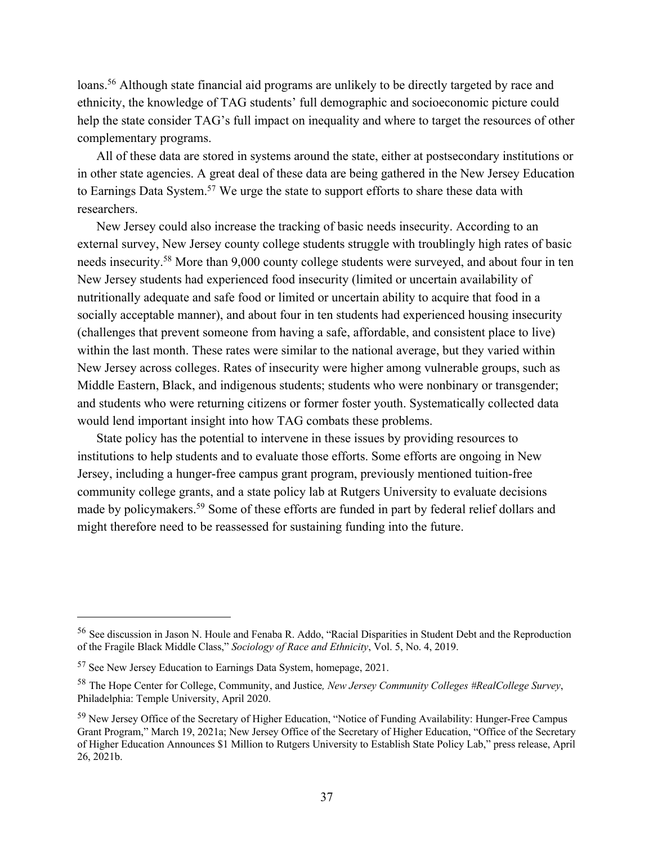loans.<sup>56</sup> Although state financial aid programs are unlikely to be directly targeted by race and ethnicity, the knowledge of TAG students' full demographic and socioeconomic picture could help the state consider TAG's full impact on inequality and where to target the resources of other complementary programs.

All of these data are stored in systems around the state, either at postsecondary institutions or in other state agencies. A great deal of these data are being gathered in the New Jersey Education to Earnings Data System.<sup>57</sup> We urge the state to support efforts to share these data with researchers.

New Jersey could also increase the tracking of basic needs insecurity. According to an external survey, New Jersey county college students struggle with troublingly high rates of basic needs insecurity.58 More than 9,000 county college students were surveyed, and about four in ten New Jersey students had experienced food insecurity (limited or uncertain availability of nutritionally adequate and safe food or limited or uncertain ability to acquire that food in a socially acceptable manner), and about four in ten students had experienced housing insecurity (challenges that prevent someone from having a safe, affordable, and consistent place to live) within the last month. These rates were similar to the national average, but they varied within New Jersey across colleges. Rates of insecurity were higher among vulnerable groups, such as Middle Eastern, Black, and indigenous students; students who were nonbinary or transgender; and students who were returning citizens or former foster youth. Systematically collected data would lend important insight into how TAG combats these problems.

State policy has the potential to intervene in these issues by providing resources to institutions to help students and to evaluate those efforts. Some efforts are ongoing in New Jersey, including a hunger-free campus grant program, previously mentioned tuition-free community college grants, and a state policy lab at Rutgers University to evaluate decisions made by policymakers.59 Some of these efforts are funded in part by federal relief dollars and might therefore need to be reassessed for sustaining funding into the future.

<sup>56</sup> See discussion in Jason N. Houle and Fenaba R. Addo, "Racial Disparities in Student Debt and the Reproduction of the Fragile Black Middle Class," *Sociology of Race and Ethnicity*, Vol. 5, No. 4, 2019.

<sup>57</sup> See New Jersey Education to Earnings Data System, homepage, 2021.

<sup>58</sup> The Hope Center for College, Community, and Justice*, New Jersey Community Colleges #RealCollege Survey*, Philadelphia: Temple University, April 2020.

<sup>59</sup> New Jersey Office of the Secretary of Higher Education, "Notice of Funding Availability: Hunger-Free Campus Grant Program," March 19, 2021a; New Jersey Office of the Secretary of Higher Education, "Office of the Secretary of Higher Education Announces \$1 Million to Rutgers University to Establish State Policy Lab," press release, April 26, 2021b.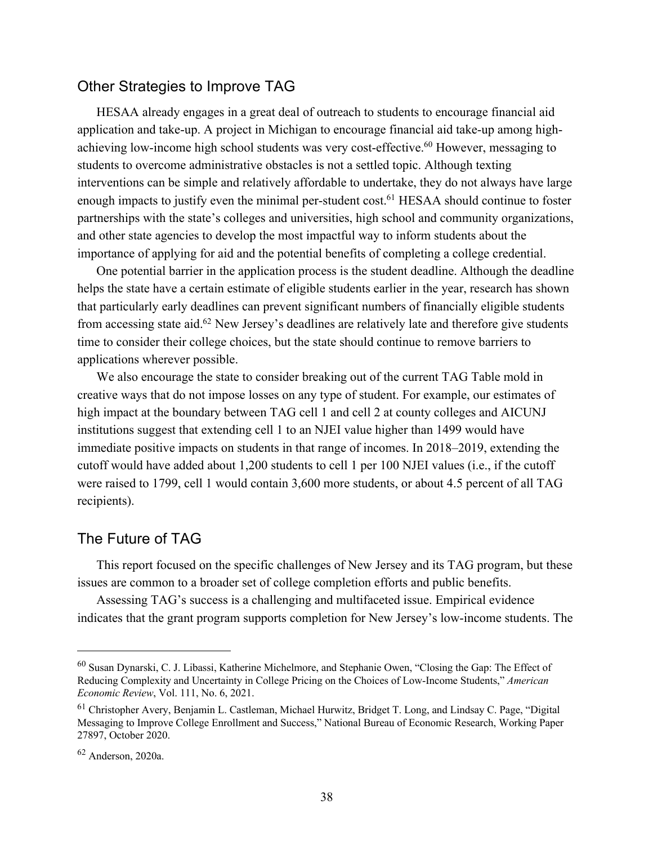## Other Strategies to Improve TAG

HESAA already engages in a great deal of outreach to students to encourage financial aid application and take-up. A project in Michigan to encourage financial aid take-up among highachieving low-income high school students was very cost-effective.<sup>60</sup> However, messaging to students to overcome administrative obstacles is not a settled topic. Although texting interventions can be simple and relatively affordable to undertake, they do not always have large enough impacts to justify even the minimal per-student cost.<sup>61</sup> HESAA should continue to foster partnerships with the state's colleges and universities, high school and community organizations, and other state agencies to develop the most impactful way to inform students about the importance of applying for aid and the potential benefits of completing a college credential.

One potential barrier in the application process is the student deadline. Although the deadline helps the state have a certain estimate of eligible students earlier in the year, research has shown that particularly early deadlines can prevent significant numbers of financially eligible students from accessing state aid.62 New Jersey's deadlines are relatively late and therefore give students time to consider their college choices, but the state should continue to remove barriers to applications wherever possible.

We also encourage the state to consider breaking out of the current TAG Table mold in creative ways that do not impose losses on any type of student. For example, our estimates of high impact at the boundary between TAG cell 1 and cell 2 at county colleges and AICUNJ institutions suggest that extending cell 1 to an NJEI value higher than 1499 would have immediate positive impacts on students in that range of incomes. In 2018–2019, extending the cutoff would have added about 1,200 students to cell 1 per 100 NJEI values (i.e., if the cutoff were raised to 1799, cell 1 would contain 3,600 more students, or about 4.5 percent of all TAG recipients).

#### The Future of TAG

This report focused on the specific challenges of New Jersey and its TAG program, but these issues are common to a broader set of college completion efforts and public benefits.

Assessing TAG's success is a challenging and multifaceted issue. Empirical evidence indicates that the grant program supports completion for New Jersey's low-income students. The

<sup>60</sup> Susan Dynarski, C. J. Libassi, Katherine Michelmore, and Stephanie Owen, "Closing the Gap: The Effect of Reducing Complexity and Uncertainty in College Pricing on the Choices of Low-Income Students," *American Economic Review*, Vol. 111, No. 6, 2021.

<sup>61</sup> Christopher Avery, Benjamin L. Castleman, Michael Hurwitz, Bridget T. Long, and Lindsay C. Page, "Digital Messaging to Improve College Enrollment and Success," National Bureau of Economic Research, Working Paper 27897, October 2020.

 $62$  Anderson, 2020a.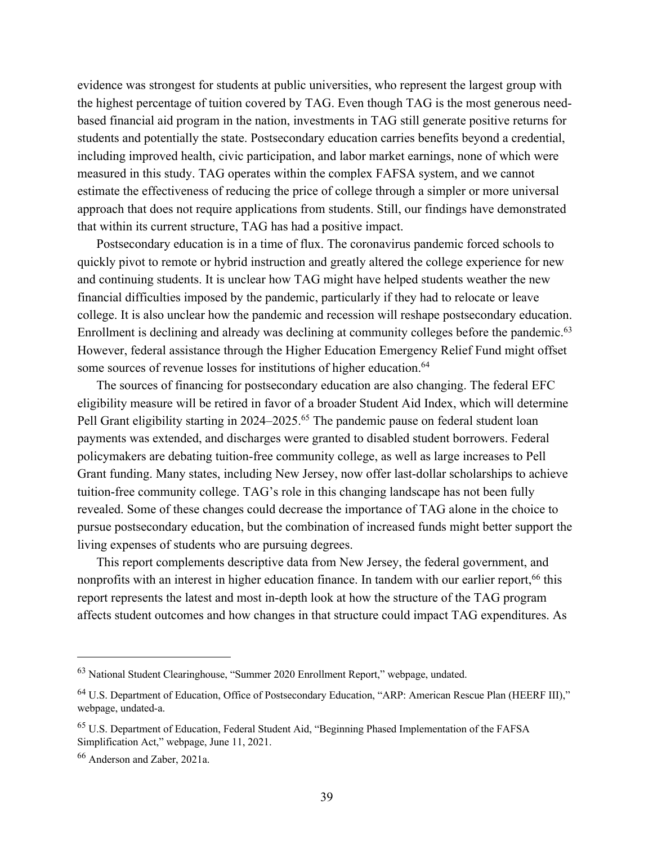evidence was strongest for students at public universities, who represent the largest group with the highest percentage of tuition covered by TAG. Even though TAG is the most generous needbased financial aid program in the nation, investments in TAG still generate positive returns for students and potentially the state. Postsecondary education carries benefits beyond a credential, including improved health, civic participation, and labor market earnings, none of which were measured in this study. TAG operates within the complex FAFSA system, and we cannot estimate the effectiveness of reducing the price of college through a simpler or more universal approach that does not require applications from students. Still, our findings have demonstrated that within its current structure, TAG has had a positive impact.

Postsecondary education is in a time of flux. The coronavirus pandemic forced schools to quickly pivot to remote or hybrid instruction and greatly altered the college experience for new and continuing students. It is unclear how TAG might have helped students weather the new financial difficulties imposed by the pandemic, particularly if they had to relocate or leave college. It is also unclear how the pandemic and recession will reshape postsecondary education. Enrollment is declining and already was declining at community colleges before the pandemic.<sup>63</sup> However, federal assistance through the Higher Education Emergency Relief Fund might offset some sources of revenue losses for institutions of higher education.<sup>64</sup>

The sources of financing for postsecondary education are also changing. The federal EFC eligibility measure will be retired in favor of a broader Student Aid Index, which will determine Pell Grant eligibility starting in 2024–2025.<sup>65</sup> The pandemic pause on federal student loan payments was extended, and discharges were granted to disabled student borrowers. Federal policymakers are debating tuition-free community college, as well as large increases to Pell Grant funding. Many states, including New Jersey, now offer last-dollar scholarships to achieve tuition-free community college. TAG's role in this changing landscape has not been fully revealed. Some of these changes could decrease the importance of TAG alone in the choice to pursue postsecondary education, but the combination of increased funds might better support the living expenses of students who are pursuing degrees.

This report complements descriptive data from New Jersey, the federal government, and nonprofits with an interest in higher education finance. In tandem with our earlier report,<sup>66</sup> this report represents the latest and most in-depth look at how the structure of the TAG program affects student outcomes and how changes in that structure could impact TAG expenditures. As

<sup>63</sup> National Student Clearinghouse, "Summer 2020 Enrollment Report," webpage, undated.

<sup>&</sup>lt;sup>64</sup> U.S. Department of Education, Office of Postsecondary Education, "ARP: American Rescue Plan (HEERF III)," webpage, undated-a.

<sup>&</sup>lt;sup>65</sup> U.S. Department of Education, Federal Student Aid, "Beginning Phased Implementation of the FAFSA Simplification Act," webpage, June 11, 2021.

<sup>66</sup> Anderson and Zaber, 2021a.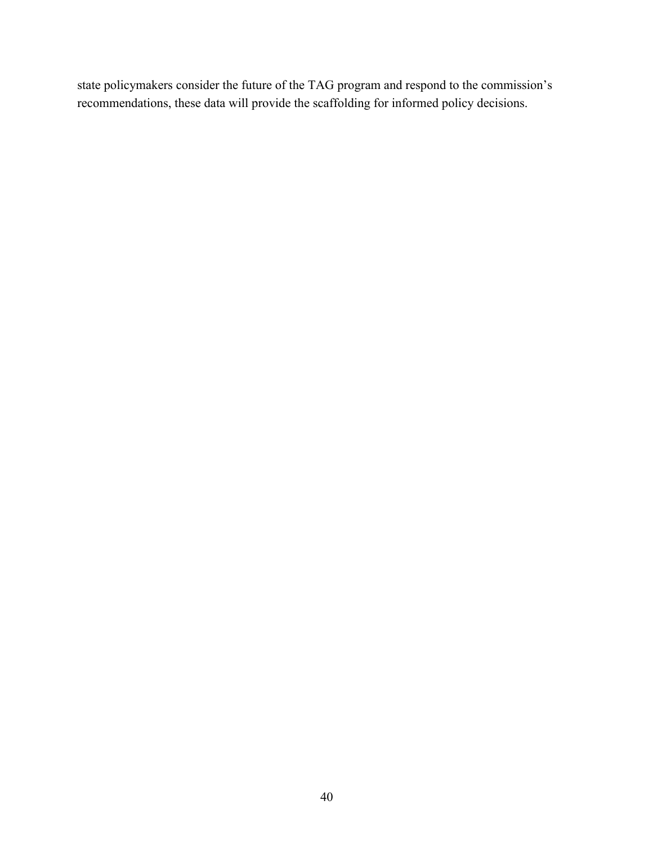state policymakers consider the future of the TAG program and respond to the commission's recommendations, these data will provide the scaffolding for informed policy decisions.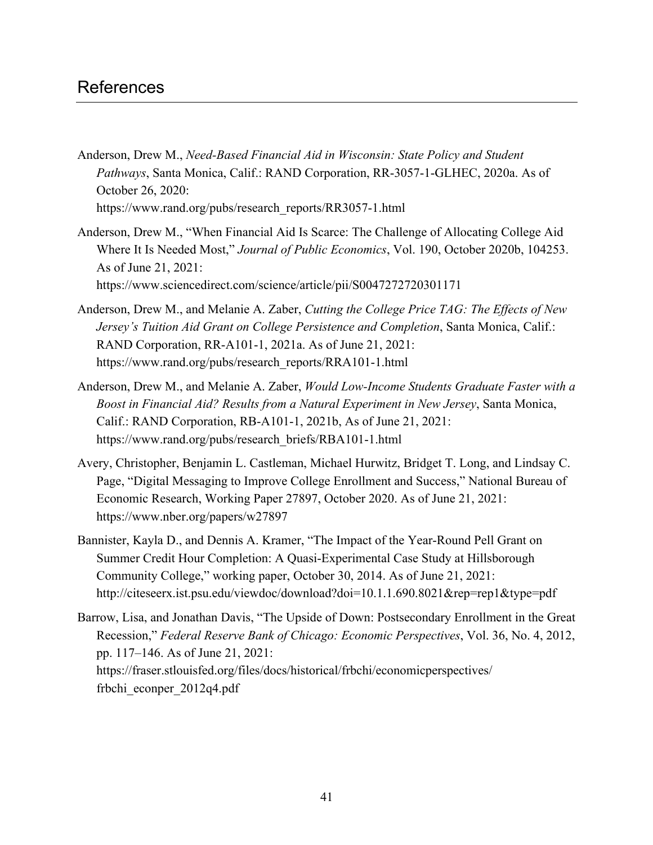## References

- Anderson, Drew M., *Need-Based Financial Aid in Wisconsin: State Policy and Student Pathways*, Santa Monica, Calif.: RAND Corporation, RR-3057-1-GLHEC, 2020a. As of October 26, 2020: [https://www.rand.org/pubs/research\\_reports/RR3057-1.html](https://www.rand.org/pubs/research_reports/RR3057-1.html)
- Anderson, Drew M., "When Financial Aid Is Scarce: The Challenge of Allocating College Aid Where It Is Needed Most," *Journal of Public Economics*, Vol. 190, October 2020b, 104253. As of June 21, 2021:

<https://www.sciencedirect.com/science/article/pii/S0047272720301171>

- Anderson, Drew M., and Melanie A. Zaber, *Cutting the College Price TAG: The Effects of New Jersey's Tuition Aid Grant on College Persistence and Completion*, Santa Monica, Calif.: RAND Corporation, RR-A101-1, 2021a. As of June 21, 2021: [https://www.rand.org/pubs/research\\_reports/RRA101-1.html](https://www.rand.org/pubs/research_reports/RRA101-1.html)
- Anderson, Drew M., and Melanie A. Zaber, *Would Low-Income Students Graduate Faster with a Boost in Financial Aid? Results from a Natural Experiment in New Jersey*, Santa Monica, Calif.: RAND Corporation, RB-A101-1, 2021b, As of June 21, 2021: [https://www.rand.org/pubs/research\\_briefs/RBA101-1.html](https://www.rand.org/pubs/research_briefs/RBA101-1.html)
- Avery, Christopher, Benjamin L. Castleman, Michael Hurwitz, Bridget T. Long, and Lindsay C. Page, "Digital Messaging to Improve College Enrollment and Success," National Bureau of Economic Research, Working Paper 27897, October 2020. As of June 21, 2021: <https://www.nber.org/papers/w27897>
- Bannister, Kayla D., and Dennis A. Kramer, "The Impact of the Year-Round Pell Grant on Summer Credit Hour Completion: A Quasi-Experimental Case Study at Hillsborough Community College," working paper, October 30, 2014. As of June 21, 2021: <http://citeseerx.ist.psu.edu/viewdoc/download?doi=10.1.1.690.8021&rep=rep1&type=pdf>
- Barrow, Lisa, and Jonathan Davis, "The Upside of Down: Postsecondary Enrollment in the Great Recession," *Federal Reserve Bank of Chicago: Economic Perspectives*, Vol. 36, No. 4, 2012, pp. 117–146. As of June 21, 2021: [https://fraser.stlouisfed.org/files/docs/historical/frbchi/economicperspectives/](https://fraser.stlouisfed.org/files/docs/historical/frbchi/economicperspectives/frbchi_econper_2012q4.pdf)  frbchi\_econper\_2012q4.pdf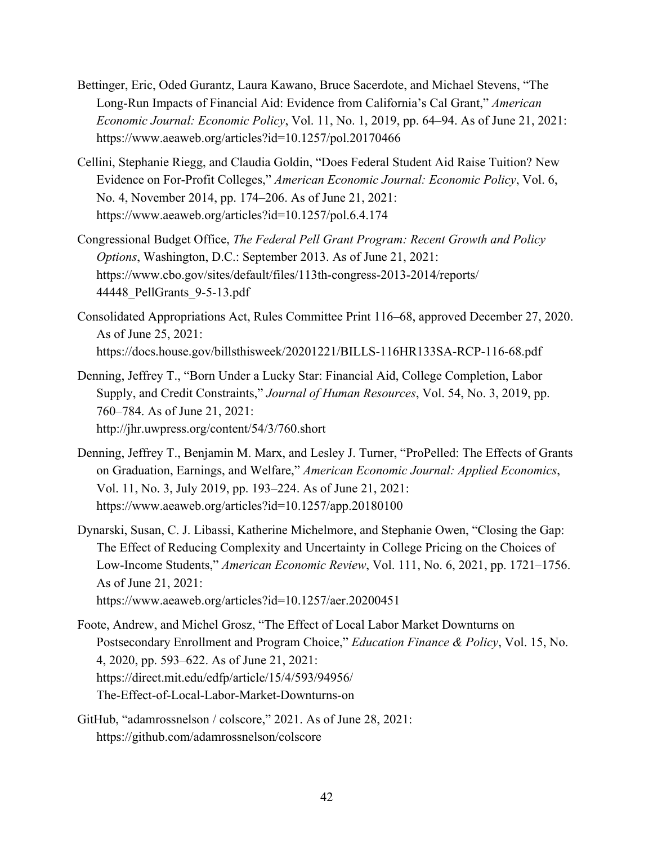- Bettinger, Eric, Oded Gurantz, Laura Kawano, Bruce Sacerdote, and Michael Stevens, "The Long-Run Impacts of Financial Aid: Evidence from California's Cal Grant," *American Economic Journal: Economic Policy*, Vol. 11, No. 1, 2019, pp. 64–94. As of June 21, 2021: <https://www.aeaweb.org/articles?id=10.1257/pol.20170466>
- Cellini, Stephanie Riegg, and Claudia Goldin, "Does Federal Student Aid Raise Tuition? New Evidence on For-Profit Colleges," *American Economic Journal: Economic Policy*, Vol. 6, No. 4, November 2014, pp. 174–206. As of June 21, 2021: <https://www.aeaweb.org/articles?id=10.1257/pol.6.4.174>
- Congressional Budget Office, *The Federal Pell Grant Program: Recent Growth and Policy Options*, Washington, D.C.: September 2013. As of June 21, 2021: [https://www.cbo.gov/sites/default/files/113th-congress-2013-2014/reports/](https://www.cbo.gov/sites/default/files/113th-congress-2013-2014/reports/44448_PellGrants_9-5-13.pdf)  44448\_PellGrants\_9-5-13.pdf
- Consolidated Appropriations Act, Rules Committee Print 116–68, approved December 27, 2020. As of June 25, 2021: <https://docs.house.gov/billsthisweek/20201221/BILLS-116HR133SA-RCP-116-68.pdf>
- Denning, Jeffrey T., "Born Under a Lucky Star: Financial Aid, College Completion, Labor Supply, and Credit Constraints," *Journal of Human Resources*, Vol. 54, No. 3, 2019, pp. 760–784. As of June 21, 2021: <http://jhr.uwpress.org/content/54/3/760.short>
- Denning, Jeffrey T., Benjamin M. Marx, and Lesley J. Turner, "ProPelled: The Effects of Grants on Graduation, Earnings, and Welfare," *American Economic Journal: Applied Economics*, Vol. 11, No. 3, July 2019, pp. 193–224. As of June 21, 2021: <https://www.aeaweb.org/articles?id=10.1257/app.20180100>
- Dynarski, Susan, C. J. Libassi, Katherine Michelmore, and Stephanie Owen, "Closing the Gap: The Effect of Reducing Complexity and Uncertainty in College Pricing on the Choices of Low-Income Students," *American Economic Review*, Vol. 111, No. 6, 2021, pp. 1721–1756. As of June 21, 2021: <https://www.aeaweb.org/articles?id=10.1257/aer.20200451>
- Foote, Andrew, and Michel Grosz, "The Effect of Local Labor Market Downturns on Postsecondary Enrollment and Program Choice," *Education Finance & Policy*, Vol. 15, No. 4, 2020, pp. 593–622. As of June 21, 2021: https://direct.mit.edu/edfp/article/15/4/593/94956/ [The-Effect-of-Local-Labor-Market-Downturns-on](https://direct.mit.edu/edfp/article/15/4/593/94956/The-Effect-of-Local-Labor-Market-Downturns-on)
- GitHub, "adamrossnelson / colscore," 2021. As of June 28, 2021: <https://github.com/adamrossnelson/colscore>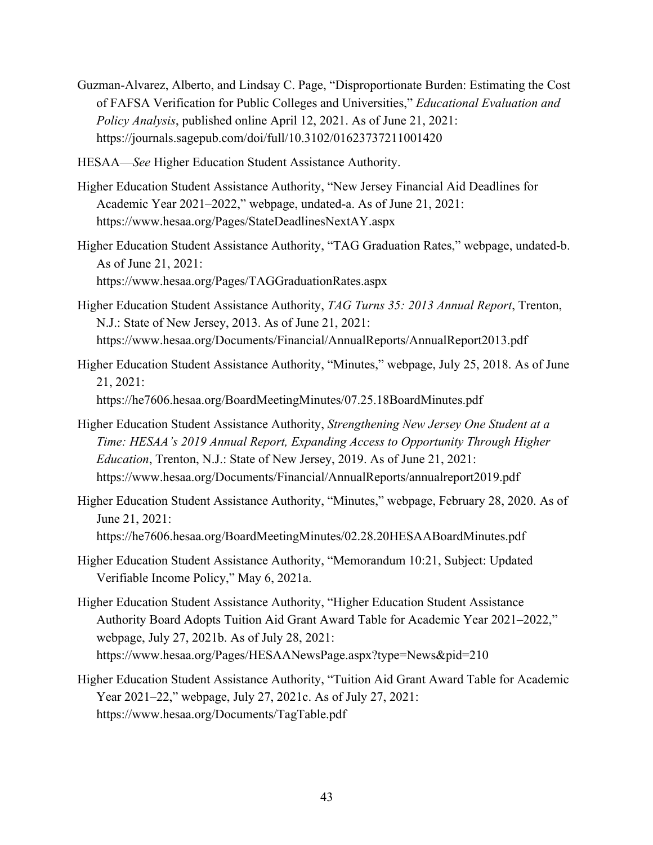- Guzman-Alvarez, Alberto, and Lindsay C. Page, "Disproportionate Burden: Estimating the Cost of FAFSA Verification for Public Colleges and Universities," *Educational Evaluation and Policy Analysis*, published online April 12, 2021. As of June 21, 2021: <https://journals.sagepub.com/doi/full/10.3102/01623737211001420>
- HESAA—*See* Higher Education Student Assistance Authority.
- Higher Education Student Assistance Authority, "New Jersey Financial Aid Deadlines for Academic Year 2021–2022," webpage, undated-a. As of June 21, 2021: <https://www.hesaa.org/Pages/StateDeadlinesNextAY.aspx>
- Higher Education Student Assistance Authority, "TAG Graduation Rates," webpage, undated-b. As of June 21, 2021: <https://www.hesaa.org/Pages/TAGGraduationRates.aspx>
- Higher Education Student Assistance Authority, *TAG Turns 35: 2013 Annual Report*, Trenton, N.J.: State of New Jersey, 2013. As of June 21, 2021: <https://www.hesaa.org/Documents/Financial/AnnualReports/AnnualReport2013.pdf>
- Higher Education Student Assistance Authority, "Minutes," webpage, July 25, 2018. As of June 21, 2021: <https://he7606.hesaa.org/BoardMeetingMinutes/07.25.18BoardMinutes.pdf>
- Higher Education Student Assistance Authority, *Strengthening New Jersey One Student at a Time: HESAA's 2019 Annual Report, Expanding Access to Opportunity Through Higher Education*, Trenton, N.J.: State of New Jersey, 2019. As of June 21, 2021: <https://www.hesaa.org/Documents/Financial/AnnualReports/annualreport2019.pdf>
- Higher Education Student Assistance Authority, "Minutes," webpage, February 28, 2020. As of June 21, 2021: <https://he7606.hesaa.org/BoardMeetingMinutes/02.28.20HESAABoardMinutes.pdf>
- Higher Education Student Assistance Authority, "Memorandum 10:21, Subject: Updated Verifiable Income Policy," May 6, 2021a.
- Higher Education Student Assistance Authority, "Higher Education Student Assistance Authority Board Adopts Tuition Aid Grant Award Table for Academic Year 2021–2022," webpage, July 27, 2021b. As of July 28, 2021: <https://www.hesaa.org/Pages/HESAANewsPage.aspx?type=News&pid=210>
- Higher Education Student Assistance Authority, "Tuition Aid Grant Award Table for Academic Year 2021–22," webpage, July 27, 2021c. As of July 27, 2021: <https://www.hesaa.org/Documents/TagTable.pdf>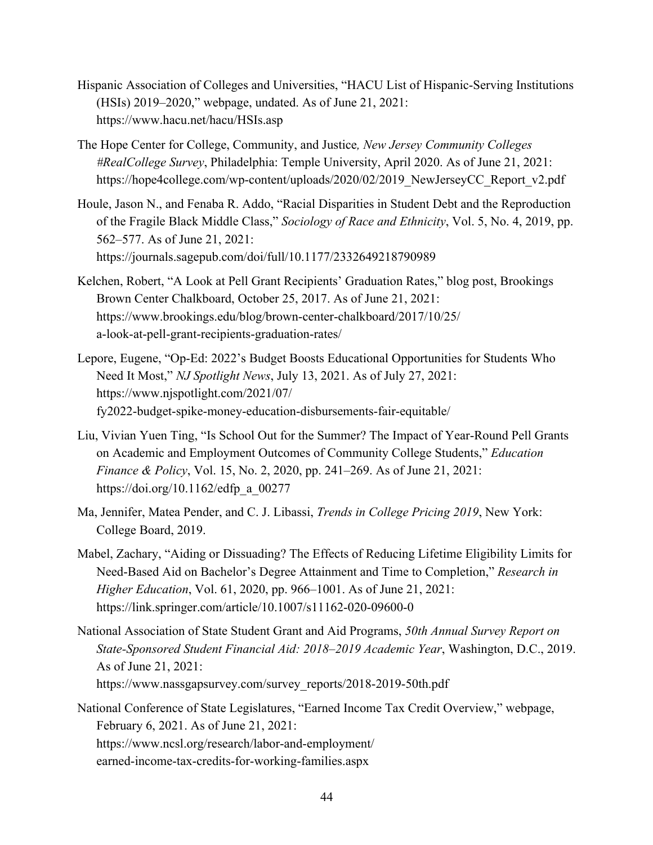- Hispanic Association of Colleges and Universities, "HACU List of Hispanic-Serving Institutions (HSIs) 2019–2020," webpage, undated. As of June 21, 2021: <https://www.hacu.net/hacu/HSIs.asp>
- The Hope Center for College, Community, and Justice*, New Jersey Community Colleges #RealCollege Survey*, Philadelphia: Temple University, April 2020. As of June 21, 2021: https://hope4college.com/wp-content/uploads/2020/02/2019\_NewJerseyCC\_Report\_v2.pdf
- Houle, Jason N., and Fenaba R. Addo, "Racial Disparities in Student Debt and the Reproduction of the Fragile Black Middle Class," *Sociology of Race and Ethnicity*, Vol. 5, No. 4, 2019, pp. 562–577. As of June 21, 2021: <https://journals.sagepub.com/doi/full/10.1177/2332649218790989>
- Kelchen, Robert, "A Look at Pell Grant Recipients' Graduation Rates," blog post, Brookings Brown Center Chalkboard, October 25, 2017. As of June 21, 2021: [https://www.brookings.edu/blog/brown-center-chalkboard/2017/10/25/](https://www.brookings.edu/blog/brown-center-chalkboard/2017/10/25/a-look-at-pell-grant-recipients-graduation-rates/)  a-look-at-pell-grant-recipients-graduation-rates/
- Lepore, Eugene, "Op-Ed: 2022's Budget Boosts Educational Opportunities for Students Who Need It Most," *NJ Spotlight News*, July 13, 2021. As of July 27, 2021: https://www.njspotlight.com/2021/07/ [fy2022-budget-spike-money-education-disbursements-fair-equitable/](https://www.njspotlight.com/2021/07/fy2022-budget-spike-money-education-disbursements-fair-equitable/)
- Liu, Vivian Yuen Ting, "Is School Out for the Summer? The Impact of Year-Round Pell Grants on Academic and Employment Outcomes of Community College Students," *Education Finance & Policy*, Vol. 15, No. 2, 2020, pp. 241–269. As of June 21, 2021: [https://doi.org/10.1162/edfp\\_a\\_00277](https://doi.org/10.1162/edfp_a_00277)
- Ma, Jennifer, Matea Pender, and C. J. Libassi, *Trends in College Pricing 2019*, New York: College Board, 2019.
- Mabel, Zachary, "Aiding or Dissuading? The Effects of Reducing Lifetime Eligibility Limits for Need-Based Aid on Bachelor's Degree Attainment and Time to Completion," *Research in Higher Education*, Vol. 61, 2020, pp. 966–1001. As of June 21, 2021: <https://link.springer.com/article/10.1007/s11162-020-09600-0>
- National Association of State Student Grant and Aid Programs, *50th Annual Survey Report on State-Sponsored Student Financial Aid: 2018–2019 Academic Year*, Washington, D.C., 2019. As of June 21, 2021: [https://www.nassgapsurvey.com/survey\\_reports/2018-2019-50th.pdf](https://www.nassgapsurvey.com/survey_reports/2018-2019-50th.pdf)
- National Conference of State Legislatures, "Earned Income Tax Credit Overview," webpage, February 6, 2021. As of June 21, 2021: [https://www.ncsl.org/research/labor-and-employment/](https://www.ncsl.org/research/labor-and-employment/earned-income-tax-credits-for-working-families.aspx)  earned-income-tax-credits-for-working-families.aspx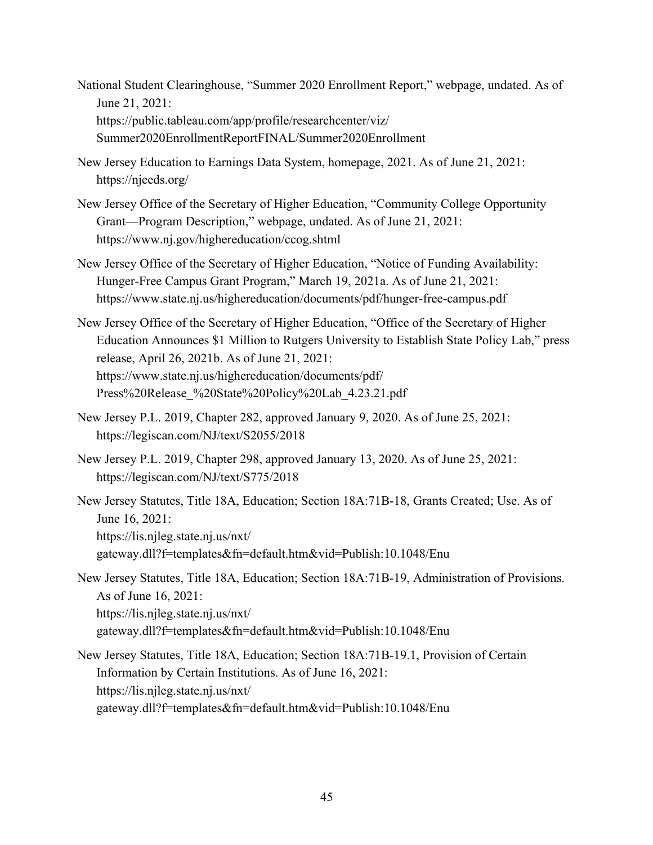National Student Clearinghouse, "Summer 2020 Enrollment Report," webpage, undated. As of June 21, 2021: https://public.tableau.com/app/profile/researchcenter/viz/ [Summer2020EnrollmentReportFINAL/Summer2020Enrollment](https://public.tableau.com/app/profile/researchcenter/viz/Summer2020EnrollmentReportFINAL/Summer2020Enrollment) 

- New Jersey Education to Earnings Data System, homepage, 2021. As of June 21, 2021: <https://njeeds.org/>
- New Jersey Office of the Secretary of Higher Education, "Community College Opportunity Grant—Program Description," webpage, undated. As of June 21, 2021: <https://www.nj.gov/highereducation/ccog.shtml>
- New Jersey Office of the Secretary of Higher Education, "Notice of Funding Availability: Hunger-Free Campus Grant Program," March 19, 2021a. As of June 21, 2021: <https://www.state.nj.us/highereducation/documents/pdf/hunger-free-campus.pdf>
- New Jersey Office of the Secretary of Higher Education, "Office of the Secretary of Higher Education Announces \$1 Million to Rutgers University to Establish State Policy Lab," press release, April 26, 2021b. As of June 21, 2021: https://www.state.nj.us/highereducation/documents/pdf/ [Press%20Release\\_%20State%20Policy%20Lab\\_4.23.21.pdf](https://www.state.nj.us/highereducation/documents/pdf/Press%20Release_%20State%20Policy%20Lab_4.23.21.pdf)
- New Jersey P.L. 2019, Chapter 282, approved January 9, 2020. As of June 25, 2021: <https://legiscan.com/NJ/text/S2055/2018>
- New Jersey P.L. 2019, Chapter 298, approved January 13, 2020. As of June 25, 2021: <https://legiscan.com/NJ/text/S775/2018>

New Jersey Statutes, Title 18A, Education; Section 18A:71B-18, Grants Created; Use. As of June 16, 2021: https://lis.njleg.state.nj.us/nxt/ [gateway.dll?f=templates&fn=default.htm&vid=Publish:10.1048/Enu](https://lis.njleg.state.nj.us/nxt/gateway.dll?f=templates&fn=default.htm&vid=Publish:10.1048/Enu) 

New Jersey Statutes, Title 18A, Education; Section 18A:71B-19, Administration of Provisions. As of June 16, 2021: https://lis.njleg.state.nj.us/nxt/ [gateway.dll?f=templates&fn=default.htm&vid=Publish:10.1048/Enu](https://lis.njleg.state.nj.us/nxt/gateway.dll?f=templates&fn=default.htm&vid=Publish:10.1048/Enu) 

New Jersey Statutes, Title 18A, Education; Section 18A:71B-19.1, Provision of Certain Information by Certain Institutions. As of June 16, 2021: https://lis.njleg.state.nj.us/nxt/ [gateway.dll?f=templates&fn=default.htm&vid=Publish:10.1048/Enu](https://lis.njleg.state.nj.us/nxt/gateway.dll?f=templates&fn=default.htm&vid=Publish:10.1048/Enu)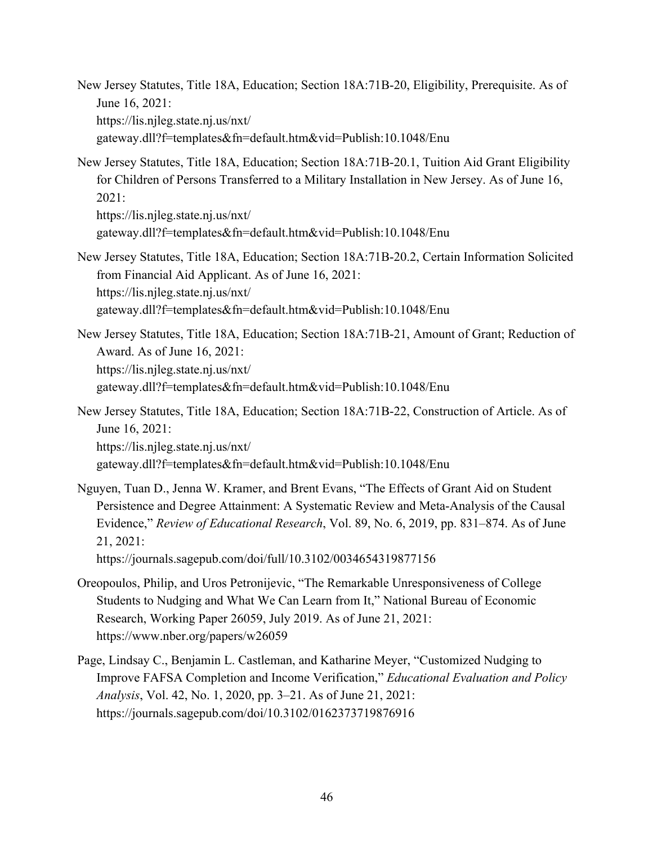New Jersey Statutes, Title 18A, Education; Section 18A:71B-20, Eligibility, Prerequisite. As of June 16, 2021: https://lis.njleg.state.nj.us/nxt/ [gateway.dll?f=templates&fn=default.htm&vid=Publish:10.1048/Enu](https://lis.njleg.state.nj.us/nxt/gateway.dll?f=templates&fn=default.htm&vid=Publish:10.1048/Enu) 

New Jersey Statutes, Title 18A, Education; Section 18A:71B-20.1, Tuition Aid Grant Eligibility for Children of Persons Transferred to a Military Installation in New Jersey. As of June 16, 2021: https://lis.njleg.state.nj.us/nxt/

[gateway.dll?f=templates&fn=default.htm&vid=Publish:10.1048/Enu](https://lis.njleg.state.nj.us/nxt/gateway.dll?f=templates&fn=default.htm&vid=Publish:10.1048/Enu) 

- New Jersey Statutes, Title 18A, Education; Section 18A:71B-20.2, Certain Information Solicited from Financial Aid Applicant. As of June 16, 2021: https://lis.njleg.state.nj.us/nxt/ [gateway.dll?f=templates&fn=default.htm&vid=Publish:10.1048/Enu](https://lis.njleg.state.nj.us/nxt/gateway.dll?f=templates&fn=default.htm&vid=Publish:10.1048/Enu)
- New Jersey Statutes, Title 18A, Education; Section 18A:71B-21, Amount of Grant; Reduction of Award. As of June 16, 2021: https://lis.njleg.state.nj.us/nxt/ [gateway.dll?f=templates&fn=default.htm&vid=Publish:10.1048/Enu](https://lis.njleg.state.nj.us/nxt/gateway.dll?f=templates&fn=default.htm&vid=Publish:10.1048/Enu)
- New Jersey Statutes, Title 18A, Education; Section 18A:71B-22, Construction of Article. As of June 16, 2021: https://lis.njleg.state.nj.us/nxt/ [gateway.dll?f=templates&fn=default.htm&vid=Publish:10.1048/Enu](https://lis.njleg.state.nj.us/nxt/gateway.dll?f=templates&fn=default.htm&vid=Publish:10.1048/Enu)
- Nguyen, Tuan D., Jenna W. Kramer, and Brent Evans, "The Effects of Grant Aid on Student Persistence and Degree Attainment: A Systematic Review and Meta-Analysis of the Causal Evidence," *Review of Educational Research*, Vol. 89, No. 6, 2019, pp. 831–874. As of June 21, 2021:

<https://journals.sagepub.com/doi/full/10.3102/0034654319877156>

- Oreopoulos, Philip, and Uros Petronijevic, "The Remarkable Unresponsiveness of College Students to Nudging and What We Can Learn from It," National Bureau of Economic Research, Working Paper 26059, July 2019. As of June 21, 2021: <https://www.nber.org/papers/w26059>
- Page, Lindsay C., Benjamin L. Castleman, and Katharine Meyer, "Customized Nudging to Improve FAFSA Completion and Income Verification," *Educational Evaluation and Policy Analysis*, Vol. 42, No. 1, 2020, pp. 3–21. As of June 21, 2021: <https://journals.sagepub.com/doi/10.3102/0162373719876916>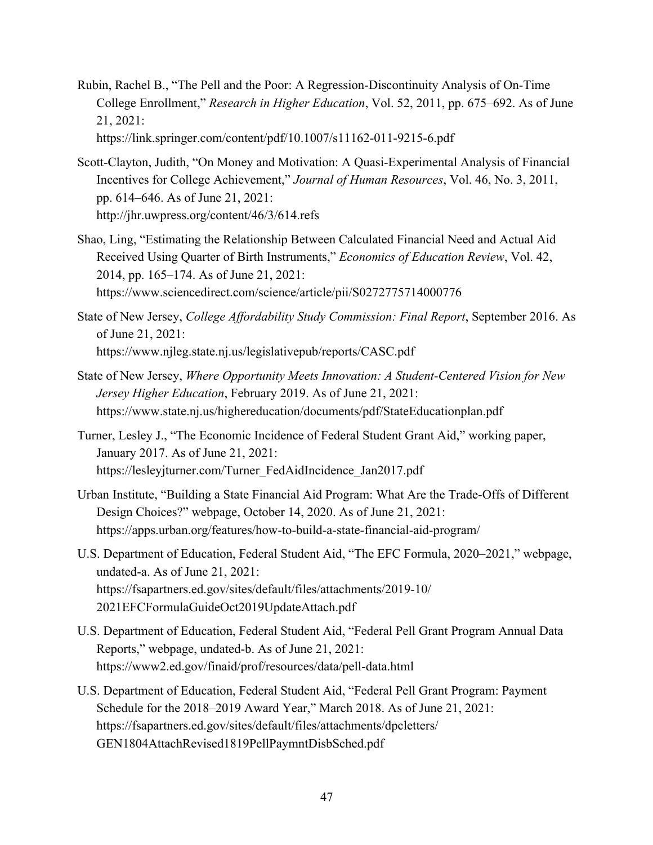Rubin, Rachel B., "The Pell and the Poor: A Regression-Discontinuity Analysis of On-Time College Enrollment," *Research in Higher Education*, Vol. 52, 2011, pp. 675–692. As of June 21, 2021:

<https://link.springer.com/content/pdf/10.1007/s11162-011-9215-6.pdf>

- Scott-Clayton, Judith, "On Money and Motivation: A Quasi-Experimental Analysis of Financial Incentives for College Achievement," *Journal of Human Resources*, Vol. 46, No. 3, 2011, pp. 614–646. As of June 21, 2021: <http://jhr.uwpress.org/content/46/3/614.refs>
- Shao, Ling, "Estimating the Relationship Between Calculated Financial Need and Actual Aid Received Using Quarter of Birth Instruments," *Economics of Education Review*, Vol. 42, 2014, pp. 165–174. As of June 21, 2021:

<https://www.sciencedirect.com/science/article/pii/S0272775714000776>

State of New Jersey, *College Affordability Study Commission: Final Report*, September 2016. As of June 21, 2021: <https://www.njleg.state.nj.us/legislativepub/reports/CASC.pdf>

- State of New Jersey, *Where Opportunity Meets Innovation: A Student-Centered Vision for New Jersey Higher Education*, February 2019. As of June 21, 2021: <https://www.state.nj.us/highereducation/documents/pdf/StateEducationplan.pdf>
- Turner, Lesley J., "The Economic Incidence of Federal Student Grant Aid," working paper, January 2017. As of June 21, 2021: [https://lesleyjturner.com/Turner\\_FedAidIncidence\\_Jan2017.pdf](https://lesleyjturner.com/Turner_FedAidIncidence_Jan2017.pdf)
- Urban Institute, "Building a State Financial Aid Program: What Are the Trade-Offs of Different Design Choices?" webpage, October 14, 2020. As of June 21, 2021: <https://apps.urban.org/features/how-to-build-a-state-financial-aid-program/>
- U.S. Department of Education, Federal Student Aid, "The EFC Formula, 2020–2021," webpage, undated-a. As of June 21, 2021: [https://fsapartners.ed.gov/sites/default/files/attachments/2019-10/](https://fsapartners.ed.gov/sites/default/files/attachments/2019-10/2021EFCFormulaGuideOct2019UpdateAttach.pdf)  2021EFCFormulaGuideOct2019UpdateAttach.pdf
- U.S. Department of Education, Federal Student Aid, "Federal Pell Grant Program Annual Data Reports," webpage, undated-b. As of June 21, 2021: <https://www2.ed.gov/finaid/prof/resources/data/pell-data.html>
- U.S. Department of Education, Federal Student Aid, "Federal Pell Grant Program: Payment Schedule for the 2018–2019 Award Year," March 2018. As of June 21, 2021: [https://fsapartners.ed.gov/sites/default/files/attachments/dpcletters/](https://fsapartners.ed.gov/sites/default/files/attachments/dpcletters/GEN1804AttachRevised1819PellPaymntDisbSched.pdf)  GEN1804AttachRevised1819PellPaymntDisbSched.pdf